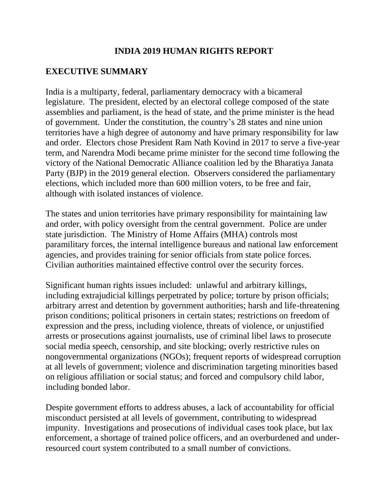### **INDIA 2019 HUMAN RIGHTS REPORT**

### **EXECUTIVE SUMMARY**

India is a multiparty, federal, parliamentary democracy with a bicameral legislature. The president, elected by an electoral college composed of the state assemblies and parliament, is the head of state, and the prime minister is the head of government. Under the constitution, the country's 28 states and nine union territories have a high degree of autonomy and have primary responsibility for law and order. Electors chose President Ram Nath Kovind in 2017 to serve a five-year term, and Narendra Modi became prime minister for the second time following the victory of the National Democratic Alliance coalition led by the Bharatiya Janata Party (BJP) in the 2019 general election. Observers considered the parliamentary elections, which included more than 600 million voters, to be free and fair, although with isolated instances of violence.

The states and union territories have primary responsibility for maintaining law and order, with policy oversight from the central government. Police are under state jurisdiction. The Ministry of Home Affairs (MHA) controls most paramilitary forces, the internal intelligence bureaus and national law enforcement agencies, and provides training for senior officials from state police forces. Civilian authorities maintained effective control over the security forces.

Significant human rights issues included: unlawful and arbitrary killings, including extrajudicial killings perpetrated by police; torture by prison officials; arbitrary arrest and detention by government authorities; harsh and life-threatening prison conditions; political prisoners in certain states; restrictions on freedom of expression and the press, including violence, threats of violence, or unjustified arrests or prosecutions against journalists, use of criminal libel laws to prosecute social media speech, censorship, and site blocking; overly restrictive rules on nongovernmental organizations (NGOs); frequent reports of widespread corruption at all levels of government; violence and discrimination targeting minorities based on religious affiliation or social status; and forced and compulsory child labor, including bonded labor.

Despite government efforts to address abuses, a lack of accountability for official misconduct persisted at all levels of government, contributing to widespread impunity. Investigations and prosecutions of individual cases took place, but lax enforcement, a shortage of trained police officers, and an overburdened and underresourced court system contributed to a small number of convictions.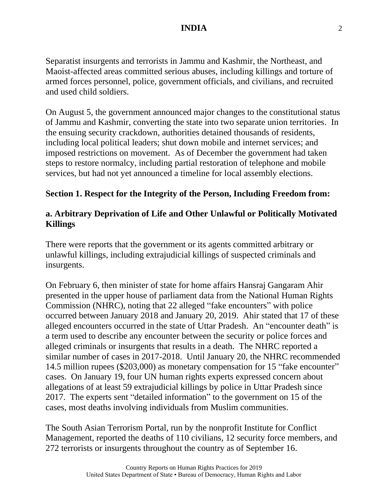Separatist insurgents and terrorists in Jammu and Kashmir, the Northeast, and Maoist-affected areas committed serious abuses, including killings and torture of armed forces personnel, police, government officials, and civilians, and recruited and used child soldiers.

On August 5, the government announced major changes to the constitutional status of Jammu and Kashmir, converting the state into two separate union territories. In the ensuing security crackdown, authorities detained thousands of residents, including local political leaders; shut down mobile and internet services; and imposed restrictions on movement. As of December the government had taken steps to restore normalcy, including partial restoration of telephone and mobile services, but had not yet announced a timeline for local assembly elections.

#### **Section 1. Respect for the Integrity of the Person, Including Freedom from:**

### **a. Arbitrary Deprivation of Life and Other Unlawful or Politically Motivated Killings**

There were reports that the government or its agents committed arbitrary or unlawful killings, including extrajudicial killings of suspected criminals and insurgents.

On February 6, then minister of state for home affairs Hansraj Gangaram Ahir presented in the upper house of parliament data from the National Human Rights Commission (NHRC), noting that 22 alleged "fake encounters" with police occurred between January 2018 and January 20, 2019. Ahir stated that 17 of these alleged encounters occurred in the state of Uttar Pradesh. An "encounter death" is a term used to describe any encounter between the security or police forces and alleged criminals or insurgents that results in a death. The NHRC reported a similar number of cases in 2017-2018. Until January 20, the NHRC recommended 14.5 million rupees (\$203,000) as monetary compensation for 15 "fake encounter" cases. On January 19, four UN human rights experts expressed concern about allegations of at least 59 extrajudicial killings by police in Uttar Pradesh since 2017. The experts sent "detailed information" to the government on 15 of the cases, most deaths involving individuals from Muslim communities.

The South Asian Terrorism Portal, run by the nonprofit Institute for Conflict Management, reported the deaths of 110 civilians, 12 security force members, and 272 terrorists or insurgents throughout the country as of September 16.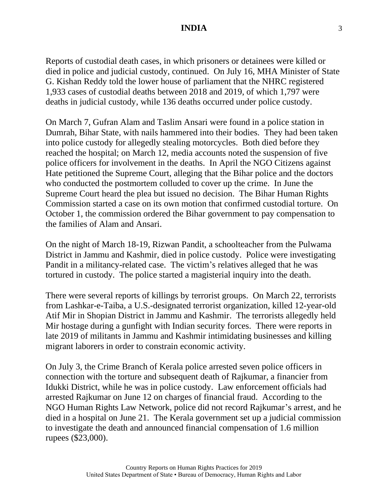Reports of custodial death cases, in which prisoners or detainees were killed or died in police and judicial custody, continued. On July 16, MHA Minister of State G. Kishan Reddy told the lower house of parliament that the NHRC registered 1,933 cases of custodial deaths between 2018 and 2019, of which 1,797 were deaths in judicial custody, while 136 deaths occurred under police custody.

On March 7, Gufran Alam and Taslim Ansari were found in a police station in Dumrah, Bihar State, with nails hammered into their bodies. They had been taken into police custody for allegedly stealing motorcycles. Both died before they reached the hospital; on March 12, media accounts noted the suspension of five police officers for involvement in the deaths. In April the NGO Citizens against Hate petitioned the Supreme Court, alleging that the Bihar police and the doctors who conducted the postmortem colluded to cover up the crime. In June the Supreme Court heard the plea but issued no decision. The Bihar Human Rights Commission started a case on its own motion that confirmed custodial torture. On October 1, the commission ordered the Bihar government to pay compensation to the families of Alam and Ansari.

On the night of March 18-19, Rizwan Pandit, a schoolteacher from the Pulwama District in Jammu and Kashmir, died in police custody. Police were investigating Pandit in a militancy-related case. The victim's relatives alleged that he was tortured in custody. The police started a magisterial inquiry into the death.

There were several reports of killings by terrorist groups. On March 22, terrorists from Lashkar-e-Taiba, a U.S.-designated terrorist organization, killed 12-year-old Atif Mir in Shopian District in Jammu and Kashmir. The terrorists allegedly held Mir hostage during a gunfight with Indian security forces. There were reports in late 2019 of militants in Jammu and Kashmir intimidating businesses and killing migrant laborers in order to constrain economic activity.

On July 3, the Crime Branch of Kerala police arrested seven police officers in connection with the torture and subsequent death of Rajkumar, a financier from Idukki District, while he was in police custody. Law enforcement officials had arrested Rajkumar on June 12 on charges of financial fraud. According to the NGO Human Rights Law Network, police did not record Rajkumar's arrest, and he died in a hospital on June 21. The Kerala government set up a judicial commission to investigate the death and announced financial compensation of 1.6 million rupees (\$23,000).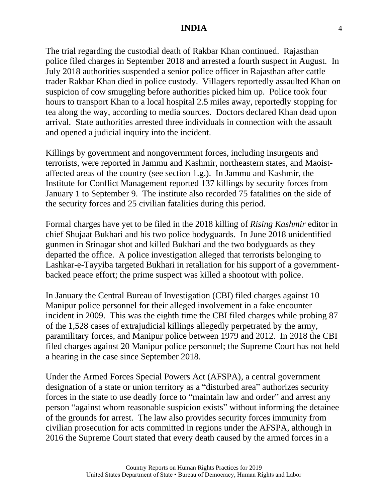The trial regarding the custodial death of Rakbar Khan continued. Rajasthan police filed charges in September 2018 and arrested a fourth suspect in August. In July 2018 authorities suspended a senior police officer in Rajasthan after cattle trader Rakbar Khan died in police custody. Villagers reportedly assaulted Khan on suspicion of cow smuggling before authorities picked him up. Police took four hours to transport Khan to a local hospital 2.5 miles away, reportedly stopping for tea along the way, according to media sources. Doctors declared Khan dead upon arrival. State authorities arrested three individuals in connection with the assault and opened a judicial inquiry into the incident.

Killings by government and nongovernment forces, including insurgents and terrorists, were reported in Jammu and Kashmir, northeastern states, and Maoistaffected areas of the country (see section 1.g.). In Jammu and Kashmir, the Institute for Conflict Management reported 137 killings by security forces from January 1 to September 9. The institute also recorded 75 fatalities on the side of the security forces and 25 civilian fatalities during this period.

Formal charges have yet to be filed in the 2018 killing of *Rising Kashmir* editor in chief Shujaat Bukhari and his two police bodyguards. In June 2018 unidentified gunmen in Srinagar shot and killed Bukhari and the two bodyguards as they departed the office. A police investigation alleged that terrorists belonging to Lashkar-e-Tayyiba targeted Bukhari in retaliation for his support of a governmentbacked peace effort; the prime suspect was killed a shootout with police.

In January the Central Bureau of Investigation (CBI) filed charges against 10 Manipur police personnel for their alleged involvement in a fake encounter incident in 2009. This was the eighth time the CBI filed charges while probing 87 of the 1,528 cases of extrajudicial killings allegedly perpetrated by the army, paramilitary forces, and Manipur police between 1979 and 2012. In 2018 the CBI filed charges against 20 Manipur police personnel; the Supreme Court has not held a hearing in the case since September 2018.

Under the Armed Forces Special Powers Act (AFSPA), a central government designation of a state or union territory as a "disturbed area" authorizes security forces in the state to use deadly force to "maintain law and order" and arrest any person "against whom reasonable suspicion exists" without informing the detainee of the grounds for arrest. The law also provides security forces immunity from civilian prosecution for acts committed in regions under the AFSPA, although in 2016 the Supreme Court stated that every death caused by the armed forces in a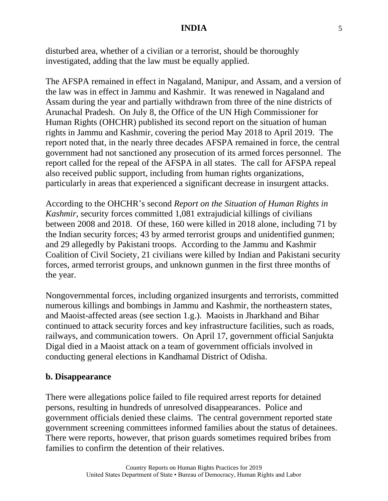disturbed area, whether of a civilian or a terrorist, should be thoroughly investigated, adding that the law must be equally applied.

The AFSPA remained in effect in Nagaland, Manipur, and Assam, and a version of the law was in effect in Jammu and Kashmir. It was renewed in Nagaland and Assam during the year and partially withdrawn from three of the nine districts of Arunachal Pradesh. On July 8, the Office of the UN High Commissioner for Human Rights (OHCHR) published its second report on the situation of human rights in Jammu and Kashmir, covering the period May 2018 to April 2019. The report noted that, in the nearly three decades AFSPA remained in force, the central government had not sanctioned any prosecution of its armed forces personnel. The report called for the repeal of the AFSPA in all states. The call for AFSPA repeal also received public support, including from human rights organizations, particularly in areas that experienced a significant decrease in insurgent attacks.

According to the OHCHR's second *Report on the Situation of Human Rights in Kashmir*, security forces committed 1,081 extrajudicial killings of civilians between 2008 and 2018. Of these, 160 were killed in 2018 alone, including 71 by the Indian security forces; 43 by armed terrorist groups and unidentified gunmen; and 29 allegedly by Pakistani troops. According to the Jammu and Kashmir Coalition of Civil Society, 21 civilians were killed by Indian and Pakistani security forces, armed terrorist groups, and unknown gunmen in the first three months of the year.

Nongovernmental forces, including organized insurgents and terrorists, committed numerous killings and bombings in Jammu and Kashmir, the northeastern states, and Maoist-affected areas (see section 1.g.). Maoists in Jharkhand and Bihar continued to attack security forces and key infrastructure facilities, such as roads, railways, and communication towers. On April 17, government official Sanjukta Digal died in a Maoist attack on a team of government officials involved in conducting general elections in Kandhamal District of Odisha.

#### **b. Disappearance**

There were allegations police failed to file required arrest reports for detained persons, resulting in hundreds of unresolved disappearances. Police and government officials denied these claims. The central government reported state government screening committees informed families about the status of detainees. There were reports, however, that prison guards sometimes required bribes from families to confirm the detention of their relatives.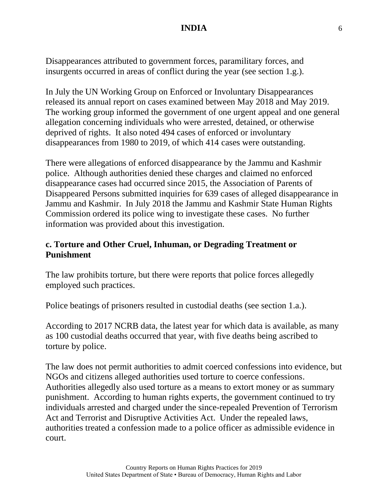Disappearances attributed to government forces, paramilitary forces, and insurgents occurred in areas of conflict during the year (see section 1.g.).

In July the UN Working Group on Enforced or Involuntary Disappearances released its annual report on cases examined between May 2018 and May 2019. The working group informed the government of one urgent appeal and one general allegation concerning individuals who were arrested, detained, or otherwise deprived of rights. It also noted 494 cases of enforced or involuntary disappearances from 1980 to 2019, of which 414 cases were outstanding.

There were allegations of enforced disappearance by the Jammu and Kashmir police. Although authorities denied these charges and claimed no enforced disappearance cases had occurred since 2015, the Association of Parents of Disappeared Persons submitted inquiries for 639 cases of alleged disappearance in Jammu and Kashmir. In July 2018 the Jammu and Kashmir State Human Rights Commission ordered its police wing to investigate these cases. No further information was provided about this investigation.

### **c. Torture and Other Cruel, Inhuman, or Degrading Treatment or Punishment**

The law prohibits torture, but there were reports that police forces allegedly employed such practices.

Police beatings of prisoners resulted in custodial deaths (see section 1.a.).

According to 2017 NCRB data, the latest year for which data is available, as many as 100 custodial deaths occurred that year, with five deaths being ascribed to torture by police.

The law does not permit authorities to admit coerced confessions into evidence, but NGOs and citizens alleged authorities used torture to coerce confessions. Authorities allegedly also used torture as a means to extort money or as summary punishment. According to human rights experts, the government continued to try individuals arrested and charged under the since-repealed Prevention of Terrorism Act and Terrorist and Disruptive Activities Act. Under the repealed laws, authorities treated a confession made to a police officer as admissible evidence in court.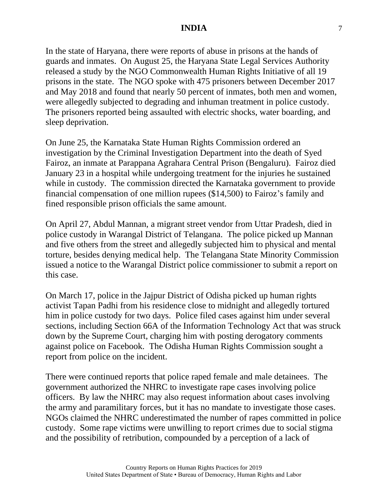In the state of Haryana, there were reports of abuse in prisons at the hands of guards and inmates. On August 25, the Haryana State Legal Services Authority released a study by the NGO Commonwealth Human Rights Initiative of all 19 prisons in the state. The NGO spoke with 475 prisoners between December 2017 and May 2018 and found that nearly 50 percent of inmates, both men and women, were allegedly subjected to degrading and inhuman treatment in police custody. The prisoners reported being assaulted with electric shocks, water boarding, and sleep deprivation.

On June 25, the Karnataka State Human Rights Commission ordered an investigation by the Criminal Investigation Department into the death of Syed Fairoz, an inmate at Parappana Agrahara Central Prison (Bengaluru). Fairoz died January 23 in a hospital while undergoing treatment for the injuries he sustained while in custody. The commission directed the Karnataka government to provide financial compensation of one million rupees (\$14,500) to Fairoz's family and fined responsible prison officials the same amount.

On April 27, Abdul Mannan, a migrant street vendor from Uttar Pradesh, died in police custody in Warangal District of Telangana. The police picked up Mannan and five others from the street and allegedly subjected him to physical and mental torture, besides denying medical help. The Telangana State Minority Commission issued a notice to the Warangal District police commissioner to submit a report on this case.

On March 17, police in the Jajpur District of Odisha picked up human rights activist Tapan Padhi from his residence close to midnight and allegedly tortured him in police custody for two days. Police filed cases against him under several sections, including Section 66A of the Information Technology Act that was struck down by the Supreme Court, charging him with posting derogatory comments against police on Facebook. The Odisha Human Rights Commission sought a report from police on the incident.

There were continued reports that police raped female and male detainees. The government authorized the NHRC to investigate rape cases involving police officers. By law the NHRC may also request information about cases involving the army and paramilitary forces, but it has no mandate to investigate those cases. NGOs claimed the NHRC underestimated the number of rapes committed in police custody. Some rape victims were unwilling to report crimes due to social stigma and the possibility of retribution, compounded by a perception of a lack of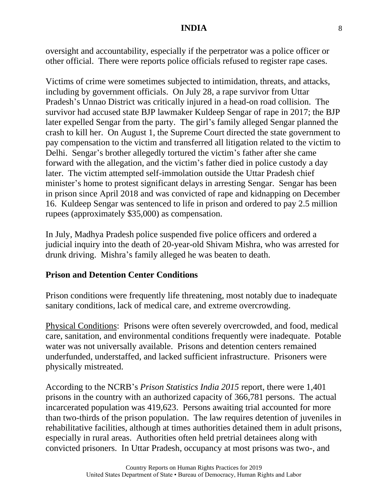oversight and accountability, especially if the perpetrator was a police officer or other official. There were reports police officials refused to register rape cases.

Victims of crime were sometimes subjected to intimidation, threats, and attacks, including by government officials. On July 28, a rape survivor from Uttar Pradesh's Unnao District was critically injured in a head-on road collision. The survivor had accused state BJP lawmaker Kuldeep Sengar of rape in 2017; the BJP later expelled Sengar from the party. The girl's family alleged Sengar planned the crash to kill her. On August 1, the Supreme Court directed the state government to pay compensation to the victim and transferred all litigation related to the victim to Delhi. Sengar's brother allegedly tortured the victim's father after she came forward with the allegation, and the victim's father died in police custody a day later. The victim attempted self-immolation outside the Uttar Pradesh chief minister's home to protest significant delays in arresting Sengar. Sengar has been in prison since April 2018 and was convicted of rape and kidnapping on December 16. Kuldeep Sengar was sentenced to life in prison and ordered to pay 2.5 million rupees (approximately \$35,000) as compensation.

In July, Madhya Pradesh police suspended five police officers and ordered a judicial inquiry into the death of 20-year-old Shivam Mishra, who was arrested for drunk driving. Mishra's family alleged he was beaten to death.

#### **Prison and Detention Center Conditions**

Prison conditions were frequently life threatening, most notably due to inadequate sanitary conditions, lack of medical care, and extreme overcrowding.

Physical Conditions: Prisons were often severely overcrowded, and food, medical care, sanitation, and environmental conditions frequently were inadequate. Potable water was not universally available. Prisons and detention centers remained underfunded, understaffed, and lacked sufficient infrastructure. Prisoners were physically mistreated.

According to the NCRB's *Prison Statistics India 2015* report, there were 1,401 prisons in the country with an authorized capacity of 366,781 persons. The actual incarcerated population was 419,623. Persons awaiting trial accounted for more than two-thirds of the prison population. The law requires detention of juveniles in rehabilitative facilities, although at times authorities detained them in adult prisons, especially in rural areas. Authorities often held pretrial detainees along with convicted prisoners. In Uttar Pradesh, occupancy at most prisons was two-, and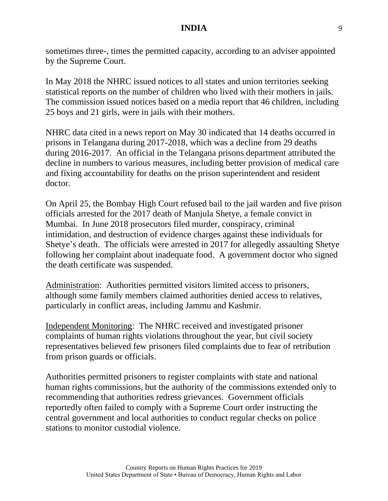sometimes three-, times the permitted capacity, according to an adviser appointed by the Supreme Court.

In May 2018 the NHRC issued notices to all states and union territories seeking statistical reports on the number of children who lived with their mothers in jails. The commission issued notices based on a media report that 46 children, including 25 boys and 21 girls, were in jails with their mothers.

NHRC data cited in a news report on May 30 indicated that 14 deaths occurred in prisons in Telangana during 2017-2018, which was a decline from 29 deaths during 2016-2017. An official in the Telangana prisons department attributed the decline in numbers to various measures, including better provision of medical care and fixing accountability for deaths on the prison superintendent and resident doctor.

On April 25, the Bombay High Court refused bail to the jail warden and five prison officials arrested for the 2017 death of Manjula Shetye, a female convict in Mumbai. In June 2018 prosecutors filed murder, conspiracy, criminal intimidation, and destruction of evidence charges against these individuals for Shetye's death. The officials were arrested in 2017 for allegedly assaulting Shetye following her complaint about inadequate food. A government doctor who signed the death certificate was suspended.

Administration: Authorities permitted visitors limited access to prisoners, although some family members claimed authorities denied access to relatives, particularly in conflict areas, including Jammu and Kashmir.

Independent Monitoring: The NHRC received and investigated prisoner complaints of human rights violations throughout the year, but civil society representatives believed few prisoners filed complaints due to fear of retribution from prison guards or officials.

Authorities permitted prisoners to register complaints with state and national human rights commissions, but the authority of the commissions extended only to recommending that authorities redress grievances. Government officials reportedly often failed to comply with a Supreme Court order instructing the central government and local authorities to conduct regular checks on police stations to monitor custodial violence.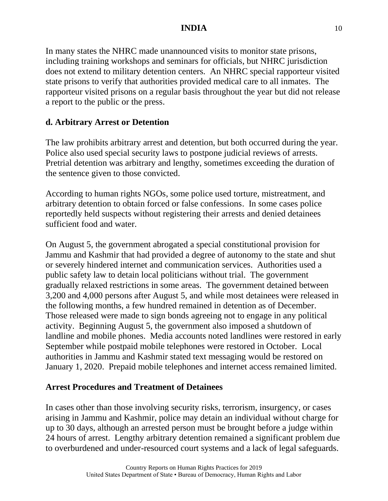In many states the NHRC made unannounced visits to monitor state prisons, including training workshops and seminars for officials, but NHRC jurisdiction does not extend to military detention centers. An NHRC special rapporteur visited state prisons to verify that authorities provided medical care to all inmates. The rapporteur visited prisons on a regular basis throughout the year but did not release a report to the public or the press.

# **d. Arbitrary Arrest or Detention**

The law prohibits arbitrary arrest and detention, but both occurred during the year. Police also used special security laws to postpone judicial reviews of arrests. Pretrial detention was arbitrary and lengthy, sometimes exceeding the duration of the sentence given to those convicted.

According to human rights NGOs, some police used torture, mistreatment, and arbitrary detention to obtain forced or false confessions. In some cases police reportedly held suspects without registering their arrests and denied detainees sufficient food and water.

On August 5, the government abrogated a special constitutional provision for Jammu and Kashmir that had provided a degree of autonomy to the state and shut or severely hindered internet and communication services. Authorities used a public safety law to detain local politicians without trial. The government gradually relaxed restrictions in some areas. The government detained between 3,200 and 4,000 persons after August 5, and while most detainees were released in the following months, a few hundred remained in detention as of December. Those released were made to sign bonds agreeing not to engage in any political activity. Beginning August 5, the government also imposed a shutdown of landline and mobile phones. Media accounts noted landlines were restored in early September while postpaid mobile telephones were restored in October. Local authorities in Jammu and Kashmir stated text messaging would be restored on January 1, 2020. Prepaid mobile telephones and internet access remained limited.

## **Arrest Procedures and Treatment of Detainees**

In cases other than those involving security risks, terrorism, insurgency, or cases arising in Jammu and Kashmir, police may detain an individual without charge for up to 30 days, although an arrested person must be brought before a judge within 24 hours of arrest. Lengthy arbitrary detention remained a significant problem due to overburdened and under-resourced court systems and a lack of legal safeguards.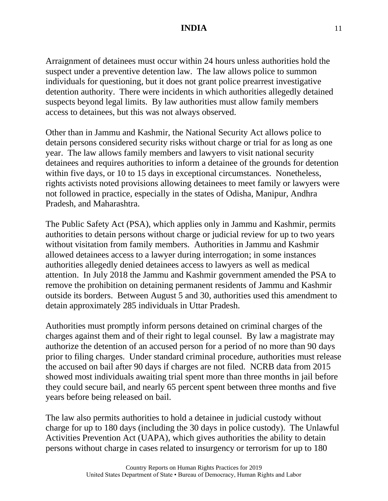Arraignment of detainees must occur within 24 hours unless authorities hold the suspect under a preventive detention law. The law allows police to summon individuals for questioning, but it does not grant police prearrest investigative detention authority. There were incidents in which authorities allegedly detained suspects beyond legal limits. By law authorities must allow family members access to detainees, but this was not always observed.

Other than in Jammu and Kashmir, the National Security Act allows police to detain persons considered security risks without charge or trial for as long as one year. The law allows family members and lawyers to visit national security detainees and requires authorities to inform a detainee of the grounds for detention within five days, or 10 to 15 days in exceptional circumstances. Nonetheless, rights activists noted provisions allowing detainees to meet family or lawyers were not followed in practice, especially in the states of Odisha, Manipur, Andhra Pradesh, and Maharashtra.

The Public Safety Act (PSA), which applies only in Jammu and Kashmir, permits authorities to detain persons without charge or judicial review for up to two years without visitation from family members. Authorities in Jammu and Kashmir allowed detainees access to a lawyer during interrogation; in some instances authorities allegedly denied detainees access to lawyers as well as medical attention. In July 2018 the Jammu and Kashmir government amended the PSA to remove the prohibition on detaining permanent residents of Jammu and Kashmir outside its borders. Between August 5 and 30, authorities used this amendment to detain approximately 285 individuals in Uttar Pradesh.

Authorities must promptly inform persons detained on criminal charges of the charges against them and of their right to legal counsel. By law a magistrate may authorize the detention of an accused person for a period of no more than 90 days prior to filing charges. Under standard criminal procedure, authorities must release the accused on bail after 90 days if charges are not filed. NCRB data from 2015 showed most individuals awaiting trial spent more than three months in jail before they could secure bail, and nearly 65 percent spent between three months and five years before being released on bail.

The law also permits authorities to hold a detainee in judicial custody without charge for up to 180 days (including the 30 days in police custody). The Unlawful Activities Prevention Act (UAPA), which gives authorities the ability to detain persons without charge in cases related to insurgency or terrorism for up to 180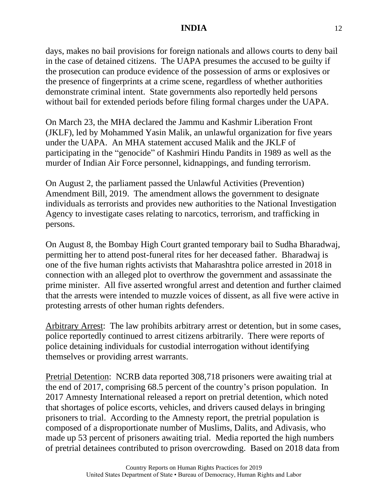days, makes no bail provisions for foreign nationals and allows courts to deny bail in the case of detained citizens. The UAPA presumes the accused to be guilty if the prosecution can produce evidence of the possession of arms or explosives or the presence of fingerprints at a crime scene, regardless of whether authorities demonstrate criminal intent. State governments also reportedly held persons without bail for extended periods before filing formal charges under the UAPA.

On March 23, the MHA declared the Jammu and Kashmir Liberation Front (JKLF), led by Mohammed Yasin Malik, an unlawful organization for five years under the UAPA. An MHA statement accused Malik and the JKLF of participating in the "genocide" of Kashmiri Hindu Pandits in 1989 as well as the murder of Indian Air Force personnel, kidnappings, and funding terrorism.

On August 2, the parliament passed the Unlawful Activities (Prevention) Amendment Bill, 2019. The amendment allows the government to designate individuals as terrorists and provides new authorities to the National Investigation Agency to investigate cases relating to narcotics, terrorism, and trafficking in persons.

On August 8, the Bombay High Court granted temporary bail to Sudha Bharadwaj, permitting her to attend post-funeral rites for her deceased father. Bharadwaj is one of the five human rights activists that Maharashtra police arrested in 2018 in connection with an alleged plot to overthrow the government and assassinate the prime minister. All five asserted wrongful arrest and detention and further claimed that the arrests were intended to muzzle voices of dissent, as all five were active in protesting arrests of other human rights defenders.

Arbitrary Arrest: The law prohibits arbitrary arrest or detention, but in some cases, police reportedly continued to arrest citizens arbitrarily. There were reports of police detaining individuals for custodial interrogation without identifying themselves or providing arrest warrants.

Pretrial Detention: NCRB data reported 308,718 prisoners were awaiting trial at the end of 2017, comprising 68.5 percent of the country's prison population. In 2017 Amnesty International released a report on pretrial detention, which noted that shortages of police escorts, vehicles, and drivers caused delays in bringing prisoners to trial. According to the Amnesty report, the pretrial population is composed of a disproportionate number of Muslims, Dalits, and Adivasis, who made up 53 percent of prisoners awaiting trial. Media reported the high numbers of pretrial detainees contributed to prison overcrowding. Based on 2018 data from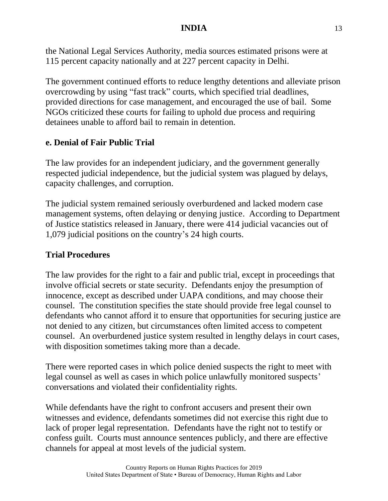the National Legal Services Authority, media sources estimated prisons were at 115 percent capacity nationally and at 227 percent capacity in Delhi.

The government continued efforts to reduce lengthy detentions and alleviate prison overcrowding by using "fast track" courts, which specified trial deadlines, provided directions for case management, and encouraged the use of bail. Some NGOs criticized these courts for failing to uphold due process and requiring detainees unable to afford bail to remain in detention.

### **e. Denial of Fair Public Trial**

The law provides for an independent judiciary, and the government generally respected judicial independence, but the judicial system was plagued by delays, capacity challenges, and corruption.

The judicial system remained seriously overburdened and lacked modern case management systems, often delaying or denying justice. According to Department of Justice statistics released in January, there were 414 judicial vacancies out of 1,079 judicial positions on the country's 24 high courts.

## **Trial Procedures**

The law provides for the right to a fair and public trial, except in proceedings that involve official secrets or state security. Defendants enjoy the presumption of innocence, except as described under UAPA conditions, and may choose their counsel. The constitution specifies the state should provide free legal counsel to defendants who cannot afford it to ensure that opportunities for securing justice are not denied to any citizen, but circumstances often limited access to competent counsel. An overburdened justice system resulted in lengthy delays in court cases, with disposition sometimes taking more than a decade.

There were reported cases in which police denied suspects the right to meet with legal counsel as well as cases in which police unlawfully monitored suspects' conversations and violated their confidentiality rights.

While defendants have the right to confront accusers and present their own witnesses and evidence, defendants sometimes did not exercise this right due to lack of proper legal representation. Defendants have the right not to testify or confess guilt. Courts must announce sentences publicly, and there are effective channels for appeal at most levels of the judicial system.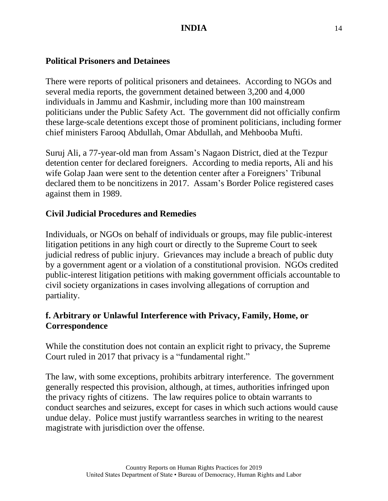#### **Political Prisoners and Detainees**

There were reports of political prisoners and detainees. According to NGOs and several media reports, the government detained between 3,200 and 4,000 individuals in Jammu and Kashmir, including more than 100 mainstream politicians under the Public Safety Act. The government did not officially confirm these large-scale detentions except those of prominent politicians, including former chief ministers Farooq Abdullah, Omar Abdullah, and Mehbooba Mufti.

Suruj Ali, a 77-year-old man from Assam's Nagaon District, died at the Tezpur detention center for declared foreigners. According to media reports, Ali and his wife Golap Jaan were sent to the detention center after a Foreigners' Tribunal declared them to be noncitizens in 2017. Assam's Border Police registered cases against them in 1989.

# **Civil Judicial Procedures and Remedies**

Individuals, or NGOs on behalf of individuals or groups, may file public-interest litigation petitions in any high court or directly to the Supreme Court to seek judicial redress of public injury. Grievances may include a breach of public duty by a government agent or a violation of a constitutional provision. NGOs credited public-interest litigation petitions with making government officials accountable to civil society organizations in cases involving allegations of corruption and partiality.

## **f. Arbitrary or Unlawful Interference with Privacy, Family, Home, or Correspondence**

While the constitution does not contain an explicit right to privacy, the Supreme Court ruled in 2017 that privacy is a "fundamental right."

The law, with some exceptions, prohibits arbitrary interference. The government generally respected this provision, although, at times, authorities infringed upon the privacy rights of citizens. The law requires police to obtain warrants to conduct searches and seizures, except for cases in which such actions would cause undue delay. Police must justify warrantless searches in writing to the nearest magistrate with jurisdiction over the offense.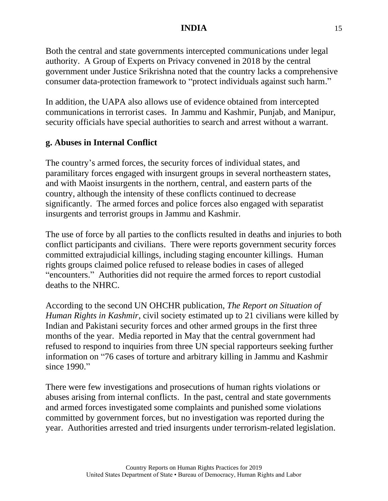Both the central and state governments intercepted communications under legal authority. A Group of Experts on Privacy convened in 2018 by the central government under Justice Srikrishna noted that the country lacks a comprehensive consumer data-protection framework to "protect individuals against such harm."

In addition, the UAPA also allows use of evidence obtained from intercepted communications in terrorist cases. In Jammu and Kashmir, Punjab, and Manipur, security officials have special authorities to search and arrest without a warrant.

### **g. Abuses in Internal Conflict**

The country's armed forces, the security forces of individual states, and paramilitary forces engaged with insurgent groups in several northeastern states, and with Maoist insurgents in the northern, central, and eastern parts of the country, although the intensity of these conflicts continued to decrease significantly. The armed forces and police forces also engaged with separatist insurgents and terrorist groups in Jammu and Kashmir.

The use of force by all parties to the conflicts resulted in deaths and injuries to both conflict participants and civilians. There were reports government security forces committed extrajudicial killings, including staging encounter killings. Human rights groups claimed police refused to release bodies in cases of alleged "encounters." Authorities did not require the armed forces to report custodial deaths to the NHRC.

According to the second UN OHCHR publication, *The Report on Situation of Human Rights in Kashmir*, civil society estimated up to 21 civilians were killed by Indian and Pakistani security forces and other armed groups in the first three months of the year. Media reported in May that the central government had refused to respond to inquiries from three UN special rapporteurs seeking further information on "76 cases of torture and arbitrary killing in Jammu and Kashmir since 1990."

There were few investigations and prosecutions of human rights violations or abuses arising from internal conflicts. In the past, central and state governments and armed forces investigated some complaints and punished some violations committed by government forces, but no investigation was reported during the year. Authorities arrested and tried insurgents under terrorism-related legislation.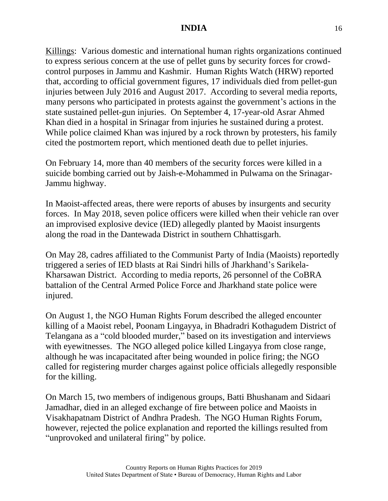Killings: Various domestic and international human rights organizations continued to express serious concern at the use of pellet guns by security forces for crowdcontrol purposes in Jammu and Kashmir. Human Rights Watch (HRW) reported that, according to official government figures, 17 individuals died from pellet-gun injuries between July 2016 and August 2017. According to several media reports, many persons who participated in protests against the government's actions in the state sustained pellet-gun injuries. On September 4, 17-year-old Asrar Ahmed Khan died in a hospital in Srinagar from injuries he sustained during a protest. While police claimed Khan was injured by a rock thrown by protesters, his family cited the postmortem report, which mentioned death due to pellet injuries.

On February 14, more than 40 members of the security forces were killed in a suicide bombing carried out by Jaish-e-Mohammed in Pulwama on the Srinagar-Jammu highway.

In Maoist-affected areas, there were reports of abuses by insurgents and security forces. In May 2018, seven police officers were killed when their vehicle ran over an improvised explosive device (IED) allegedly planted by Maoist insurgents along the road in the Dantewada District in southern Chhattisgarh.

On May 28, cadres affiliated to the Communist Party of India (Maoists) reportedly triggered a series of IED blasts at Rai Sindri hills of Jharkhand's Sarikela-Kharsawan District. According to media reports, 26 personnel of the CoBRA battalion of the Central Armed Police Force and Jharkhand state police were injured.

On August 1, the NGO Human Rights Forum described the alleged encounter killing of a Maoist rebel, Poonam Lingayya, in Bhadradri Kothagudem District of Telangana as a "cold blooded murder," based on its investigation and interviews with eyewitnesses. The NGO alleged police killed Lingayya from close range, although he was incapacitated after being wounded in police firing; the NGO called for registering murder charges against police officials allegedly responsible for the killing.

On March 15, two members of indigenous groups, Batti Bhushanam and Sidaari Jamadhar, died in an alleged exchange of fire between police and Maoists in Visakhapatnam District of Andhra Pradesh. The NGO Human Rights Forum, however, rejected the police explanation and reported the killings resulted from "unprovoked and unilateral firing" by police.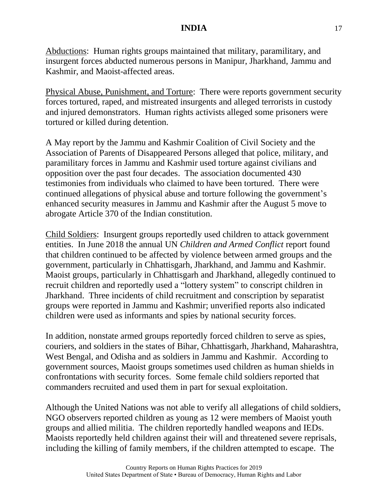Abductions: Human rights groups maintained that military, paramilitary, and insurgent forces abducted numerous persons in Manipur, Jharkhand, Jammu and Kashmir, and Maoist-affected areas.

Physical Abuse, Punishment, and Torture: There were reports government security forces tortured, raped, and mistreated insurgents and alleged terrorists in custody and injured demonstrators. Human rights activists alleged some prisoners were tortured or killed during detention.

A May report by the Jammu and Kashmir Coalition of Civil Society and the Association of Parents of Disappeared Persons alleged that police, military, and paramilitary forces in Jammu and Kashmir used torture against civilians and opposition over the past four decades. The association documented 430 testimonies from individuals who claimed to have been tortured. There were continued allegations of physical abuse and torture following the government's enhanced security measures in Jammu and Kashmir after the August 5 move to abrogate Article 370 of the Indian constitution.

Child Soldiers: Insurgent groups reportedly used children to attack government entities. In June 2018 the annual UN *Children and Armed Conflict* report found that children continued to be affected by violence between armed groups and the government, particularly in Chhattisgarh, Jharkhand, and Jammu and Kashmir. Maoist groups, particularly in Chhattisgarh and Jharkhand, allegedly continued to recruit children and reportedly used a "lottery system" to conscript children in Jharkhand. Three incidents of child recruitment and conscription by separatist groups were reported in Jammu and Kashmir; unverified reports also indicated children were used as informants and spies by national security forces.

In addition, nonstate armed groups reportedly forced children to serve as spies, couriers, and soldiers in the states of Bihar, Chhattisgarh, Jharkhand, Maharashtra, West Bengal, and Odisha and as soldiers in Jammu and Kashmir. According to government sources, Maoist groups sometimes used children as human shields in confrontations with security forces. Some female child soldiers reported that commanders recruited and used them in part for sexual exploitation.

Although the United Nations was not able to verify all allegations of child soldiers, NGO observers reported children as young as 12 were members of Maoist youth groups and allied militia. The children reportedly handled weapons and IEDs. Maoists reportedly held children against their will and threatened severe reprisals, including the killing of family members, if the children attempted to escape. The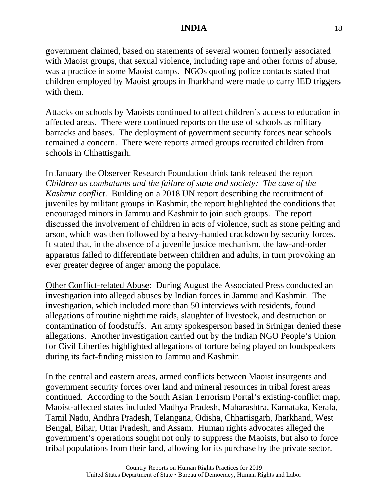government claimed, based on statements of several women formerly associated with Maoist groups, that sexual violence, including rape and other forms of abuse, was a practice in some Maoist camps. NGOs quoting police contacts stated that children employed by Maoist groups in Jharkhand were made to carry IED triggers with them.

Attacks on schools by Maoists continued to affect children's access to education in affected areas. There were continued reports on the use of schools as military barracks and bases. The deployment of government security forces near schools remained a concern. There were reports armed groups recruited children from schools in Chhattisgarh.

In January the Observer Research Foundation think tank released the report *Children as combatants and the failure of state and society: The case of the Kashmir conflict*. Building on a 2018 UN report describing the recruitment of juveniles by militant groups in Kashmir, the report highlighted the conditions that encouraged minors in Jammu and Kashmir to join such groups. The report discussed the involvement of children in acts of violence, such as stone pelting and arson, which was then followed by a heavy-handed crackdown by security forces. It stated that, in the absence of a juvenile justice mechanism, the law-and-order apparatus failed to differentiate between children and adults, in turn provoking an ever greater degree of anger among the populace.

Other Conflict-related Abuse: During August the Associated Press conducted an investigation into alleged abuses by Indian forces in Jammu and Kashmir. The investigation, which included more than 50 interviews with residents, found allegations of routine nighttime raids, slaughter of livestock, and destruction or contamination of foodstuffs. An army spokesperson based in Srinigar denied these allegations. Another investigation carried out by the Indian NGO People's Union for Civil Liberties highlighted allegations of torture being played on loudspeakers during its fact-finding mission to Jammu and Kashmir.

In the central and eastern areas, armed conflicts between Maoist insurgents and government security forces over land and mineral resources in tribal forest areas continued. According to the South Asian Terrorism Portal's existing-conflict map, Maoist-affected states included Madhya Pradesh, Maharashtra, Karnataka, Kerala, Tamil Nadu, Andhra Pradesh, Telangana, Odisha, Chhattisgarh, Jharkhand, West Bengal, Bihar, Uttar Pradesh, and Assam. Human rights advocates alleged the government's operations sought not only to suppress the Maoists, but also to force tribal populations from their land, allowing for its purchase by the private sector.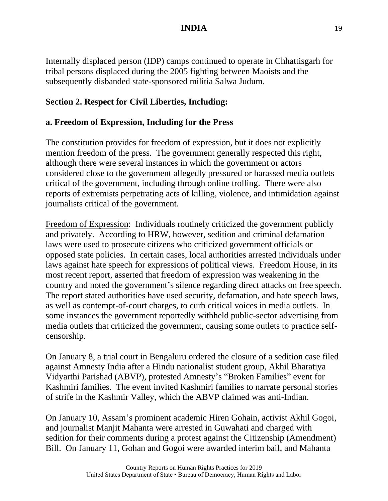Internally displaced person (IDP) camps continued to operate in Chhattisgarh for tribal persons displaced during the 2005 fighting between Maoists and the subsequently disbanded state-sponsored militia Salwa Judum.

### **Section 2. Respect for Civil Liberties, Including:**

#### **a. Freedom of Expression, Including for the Press**

The constitution provides for freedom of expression, but it does not explicitly mention freedom of the press. The government generally respected this right, although there were several instances in which the government or actors considered close to the government allegedly pressured or harassed media outlets critical of the government, including through online trolling. There were also reports of extremists perpetrating acts of killing, violence, and intimidation against journalists critical of the government.

Freedom of Expression: Individuals routinely criticized the government publicly and privately. According to HRW, however, sedition and criminal defamation laws were used to prosecute citizens who criticized government officials or opposed state policies. In certain cases, local authorities arrested individuals under laws against hate speech for expressions of political views. Freedom House, in its most recent report, asserted that freedom of expression was weakening in the country and noted the government's silence regarding direct attacks on free speech. The report stated authorities have used security, defamation, and hate speech laws, as well as contempt-of-court charges, to curb critical voices in media outlets. In some instances the government reportedly withheld public-sector advertising from media outlets that criticized the government, causing some outlets to practice selfcensorship.

On January 8, a trial court in Bengaluru ordered the closure of a sedition case filed against Amnesty India after a Hindu nationalist student group, Akhil Bharatiya Vidyarthi Parishad (ABVP), protested Amnesty's "Broken Families" event for Kashmiri families. The event invited Kashmiri families to narrate personal stories of strife in the Kashmir Valley, which the ABVP claimed was anti-Indian.

On January 10, Assam's prominent academic Hiren Gohain, activist Akhil Gogoi, and journalist Manjit Mahanta were arrested in Guwahati and charged with sedition for their comments during a protest against the Citizenship (Amendment) Bill. On January 11, Gohan and Gogoi were awarded interim bail, and Mahanta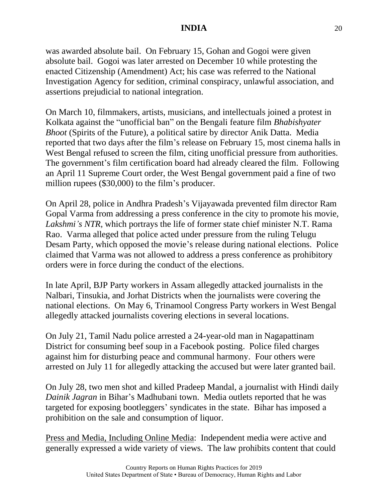was awarded absolute bail. On February 15, Gohan and Gogoi were given absolute bail. Gogoi was later arrested on December 10 while protesting the enacted Citizenship (Amendment) Act; his case was referred to the National Investigation Agency for sedition, criminal conspiracy, unlawful association, and assertions prejudicial to national integration.

On March 10, filmmakers, artists, musicians, and intellectuals joined a protest in Kolkata against the "unofficial ban" on the Bengali feature film *Bhabishyater Bhoot* (Spirits of the Future), a political satire by director Anik Datta. Media reported that two days after the film's release on February 15, most cinema halls in West Bengal refused to screen the film, citing unofficial pressure from authorities. The government's film certification board had already cleared the film. Following an April 11 Supreme Court order, the West Bengal government paid a fine of two million rupees (\$30,000) to the film's producer.

On April 28, police in Andhra Pradesh's Vijayawada prevented film director Ram Gopal Varma from addressing a press conference in the city to promote his movie, *Lakshmi's NTR*, which portrays the life of former state chief minister N.T. Rama Rao. Varma alleged that police acted under pressure from the ruling Telugu Desam Party, which opposed the movie's release during national elections. Police claimed that Varma was not allowed to address a press conference as prohibitory orders were in force during the conduct of the elections.

In late April, BJP Party workers in Assam allegedly attacked journalists in the Nalbari, Tinsukia, and Jorhat Districts when the journalists were covering the national elections. On May 6, Trinamool Congress Party workers in West Bengal allegedly attacked journalists covering elections in several locations.

On July 21, Tamil Nadu police arrested a 24-year-old man in Nagapattinam District for consuming beef soup in a Facebook posting. Police filed charges against him for disturbing peace and communal harmony. Four others were arrested on July 11 for allegedly attacking the accused but were later granted bail.

On July 28, two men shot and killed Pradeep Mandal, a journalist with Hindi daily *Dainik Jagran* in Bihar's Madhubani town. Media outlets reported that he was targeted for exposing bootleggers' syndicates in the state. Bihar has imposed a prohibition on the sale and consumption of liquor.

Press and Media, Including Online Media: Independent media were active and generally expressed a wide variety of views. The law prohibits content that could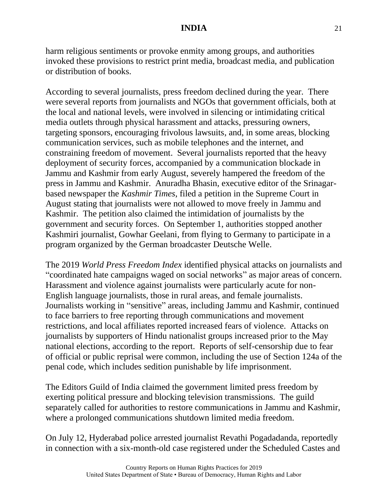harm religious sentiments or provoke enmity among groups, and authorities invoked these provisions to restrict print media, broadcast media, and publication or distribution of books.

According to several journalists, press freedom declined during the year. There were several reports from journalists and NGOs that government officials, both at the local and national levels, were involved in silencing or intimidating critical media outlets through physical harassment and attacks, pressuring owners, targeting sponsors, encouraging frivolous lawsuits, and, in some areas, blocking communication services, such as mobile telephones and the internet, and constraining freedom of movement. Several journalists reported that the heavy deployment of security forces, accompanied by a communication blockade in Jammu and Kashmir from early August, severely hampered the freedom of the press in Jammu and Kashmir. Anuradha Bhasin, executive editor of the Srinagarbased newspaper the *Kashmir Times*, filed a petition in the Supreme Court in August stating that journalists were not allowed to move freely in Jammu and Kashmir. The petition also claimed the intimidation of journalists by the government and security forces. On September 1, authorities stopped another Kashmiri journalist, Gowhar Geelani, from flying to Germany to participate in a program organized by the German broadcaster Deutsche Welle.

The 2019 *World Press Freedom Index* identified physical attacks on journalists and "coordinated hate campaigns waged on social networks" as major areas of concern. Harassment and violence against journalists were particularly acute for non-English language journalists, those in rural areas, and female journalists. Journalists working in "sensitive" areas, including Jammu and Kashmir, continued to face barriers to free reporting through communications and movement restrictions, and local affiliates reported increased fears of violence. Attacks on journalists by supporters of Hindu nationalist groups increased prior to the May national elections, according to the report. Reports of self-censorship due to fear of official or public reprisal were common, including the use of Section 124a of the penal code, which includes sedition punishable by life imprisonment.

The Editors Guild of India claimed the government limited press freedom by exerting political pressure and blocking television transmissions. The guild separately called for authorities to restore communications in Jammu and Kashmir, where a prolonged communications shutdown limited media freedom.

On July 12, Hyderabad police arrested journalist Revathi Pogadadanda, reportedly in connection with a six-month-old case registered under the Scheduled Castes and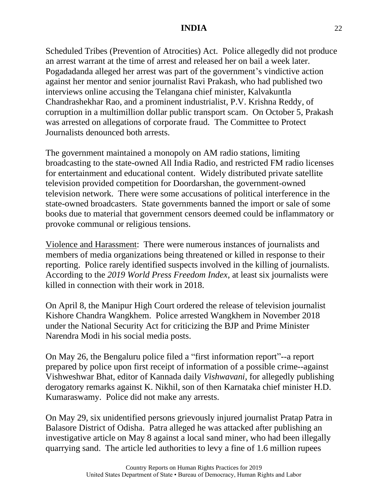Scheduled Tribes (Prevention of Atrocities) Act. Police allegedly did not produce an arrest warrant at the time of arrest and released her on bail a week later. Pogadadanda alleged her arrest was part of the government's vindictive action against her mentor and senior journalist Ravi Prakash, who had published two interviews online accusing the Telangana chief minister, Kalvakuntla Chandrashekhar Rao, and a prominent industrialist, P.V. Krishna Reddy, of corruption in a multimillion dollar public transport scam. On October 5, Prakash was arrested on allegations of corporate fraud. The Committee to Protect Journalists denounced both arrests.

The government maintained a monopoly on AM radio stations, limiting broadcasting to the state-owned All India Radio, and restricted FM radio licenses for entertainment and educational content. Widely distributed private satellite television provided competition for Doordarshan, the government-owned television network. There were some accusations of political interference in the state-owned broadcasters. State governments banned the import or sale of some books due to material that government censors deemed could be inflammatory or provoke communal or religious tensions.

Violence and Harassment: There were numerous instances of journalists and members of media organizations being threatened or killed in response to their reporting. Police rarely identified suspects involved in the killing of journalists. According to the *2019 World Press Freedom Index*, at least six journalists were killed in connection with their work in 2018.

On April 8, the Manipur High Court ordered the release of television journalist Kishore Chandra Wangkhem. Police arrested Wangkhem in November 2018 under the National Security Act for criticizing the BJP and Prime Minister Narendra Modi in his social media posts.

On May 26, the Bengaluru police filed a "first information report"--a report prepared by police upon first receipt of information of a possible crime--against Vishweshwar Bhat, editor of Kannada daily *Vishwavani*, for allegedly publishing derogatory remarks against K. Nikhil, son of then Karnataka chief minister H.D. Kumaraswamy. Police did not make any arrests.

On May 29, six unidentified persons grievously injured journalist Pratap Patra in Balasore District of Odisha. Patra alleged he was attacked after publishing an investigative article on May 8 against a local sand miner, who had been illegally quarrying sand. The article led authorities to levy a fine of 1.6 million rupees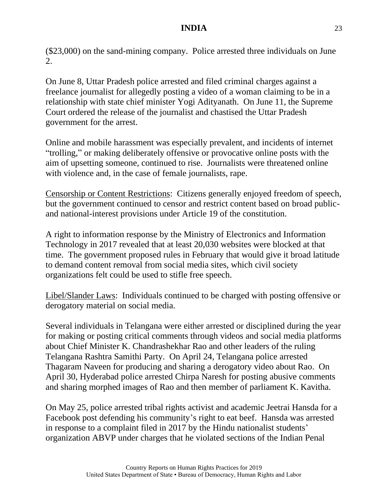(\$23,000) on the sand-mining company. Police arrested three individuals on June 2.

On June 8, Uttar Pradesh police arrested and filed criminal charges against a freelance journalist for allegedly posting a video of a woman claiming to be in a relationship with state chief minister Yogi Adityanath. On June 11, the Supreme Court ordered the release of the journalist and chastised the Uttar Pradesh government for the arrest.

Online and mobile harassment was especially prevalent, and incidents of internet "trolling," or making deliberately offensive or provocative online posts with the aim of upsetting someone, continued to rise. Journalists were threatened online with violence and, in the case of female journalists, rape.

Censorship or Content Restrictions: Citizens generally enjoyed freedom of speech, but the government continued to censor and restrict content based on broad publicand national-interest provisions under Article 19 of the constitution.

A right to information response by the Ministry of Electronics and Information Technology in 2017 revealed that at least 20,030 websites were blocked at that time. The government proposed rules in February that would give it broad latitude to demand content removal from social media sites, which civil society organizations felt could be used to stifle free speech.

Libel/Slander Laws: Individuals continued to be charged with posting offensive or derogatory material on social media.

Several individuals in Telangana were either arrested or disciplined during the year for making or posting critical comments through videos and social media platforms about Chief Minister K. Chandrashekhar Rao and other leaders of the ruling Telangana Rashtra Samithi Party. On April 24, Telangana police arrested Thagaram Naveen for producing and sharing a derogatory video about Rao. On April 30, Hyderabad police arrested Chirpa Naresh for posting abusive comments and sharing morphed images of Rao and then member of parliament K. Kavitha.

On May 25, police arrested tribal rights activist and academic Jeetrai Hansda for a Facebook post defending his community's right to eat beef. Hansda was arrested in response to a complaint filed in 2017 by the Hindu nationalist students' organization ABVP under charges that he violated sections of the Indian Penal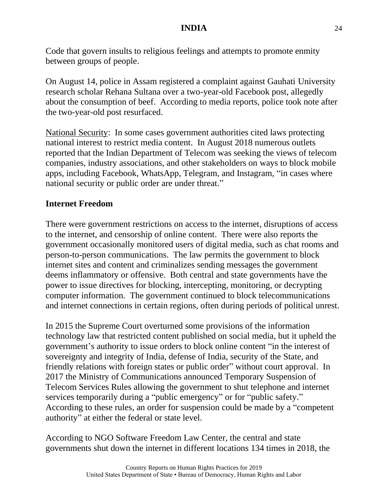Code that govern insults to religious feelings and attempts to promote enmity between groups of people.

On August 14, police in Assam registered a complaint against Gauhati University research scholar Rehana Sultana over a two-year-old Facebook post, allegedly about the consumption of beef. According to media reports, police took note after the two-year-old post resurfaced.

National Security: In some cases government authorities cited laws protecting national interest to restrict media content. In August 2018 numerous outlets reported that the Indian Department of Telecom was seeking the views of telecom companies, industry associations, and other stakeholders on ways to block mobile apps, including Facebook, WhatsApp, Telegram, and Instagram, "in cases where national security or public order are under threat."

#### **Internet Freedom**

There were government restrictions on access to the internet, disruptions of access to the internet, and censorship of online content. There were also reports the government occasionally monitored users of digital media, such as chat rooms and person-to-person communications. The law permits the government to block internet sites and content and criminalizes sending messages the government deems inflammatory or offensive. Both central and state governments have the power to issue directives for blocking, intercepting, monitoring, or decrypting computer information. The government continued to block telecommunications and internet connections in certain regions, often during periods of political unrest.

In 2015 the Supreme Court overturned some provisions of the information technology law that restricted content published on social media, but it upheld the government's authority to issue orders to block online content "in the interest of sovereignty and integrity of India, defense of India, security of the State, and friendly relations with foreign states or public order" without court approval. In 2017 the Ministry of Communications announced Temporary Suspension of Telecom Services Rules allowing the government to shut telephone and internet services temporarily during a "public emergency" or for "public safety." According to these rules, an order for suspension could be made by a "competent authority" at either the federal or state level.

According to NGO Software Freedom Law Center, the central and state governments shut down the internet in different locations 134 times in 2018, the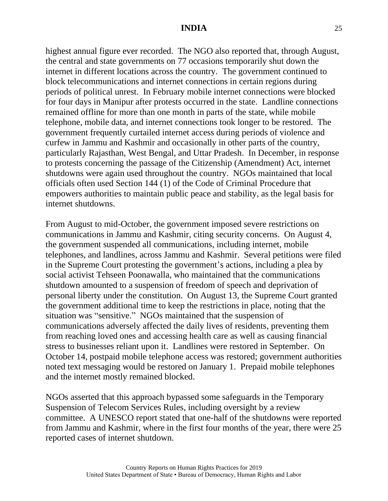highest annual figure ever recorded. The NGO also reported that, through August, the central and state governments on 77 occasions temporarily shut down the internet in different locations across the country. The government continued to block telecommunications and internet connections in certain regions during periods of political unrest. In February mobile internet connections were blocked for four days in Manipur after protests occurred in the state. Landline connections remained offline for more than one month in parts of the state, while mobile telephone, mobile data, and internet connections took longer to be restored. The government frequently curtailed internet access during periods of violence and curfew in Jammu and Kashmir and occasionally in other parts of the country, particularly Rajasthan, West Bengal, and Uttar Pradesh. In December, in response to protests concerning the passage of the Citizenship (Amendment) Act, internet shutdowns were again used throughout the country. NGOs maintained that local officials often used Section 144 (1) of the Code of Criminal Procedure that empowers authorities to maintain public peace and stability, as the legal basis for internet shutdowns.

From August to mid-October, the government imposed severe restrictions on communications in Jammu and Kashmir, citing security concerns. On August 4, the government suspended all communications, including internet, mobile telephones, and landlines, across Jammu and Kashmir. Several petitions were filed in the Supreme Court protesting the government's actions, including a plea by social activist Tehseen Poonawalla, who maintained that the communications shutdown amounted to a suspension of freedom of speech and deprivation of personal liberty under the constitution. On August 13, the Supreme Court granted the government additional time to keep the restrictions in place, noting that the situation was "sensitive." NGOs maintained that the suspension of communications adversely affected the daily lives of residents, preventing them from reaching loved ones and accessing health care as well as causing financial stress to businesses reliant upon it. Landlines were restored in September. On October 14, postpaid mobile telephone access was restored; government authorities noted text messaging would be restored on January 1. Prepaid mobile telephones and the internet mostly remained blocked.

NGOs asserted that this approach bypassed some safeguards in the Temporary Suspension of Telecom Services Rules, including oversight by a review committee. A UNESCO report stated that one-half of the shutdowns were reported from Jammu and Kashmir, where in the first four months of the year, there were 25 reported cases of internet shutdown.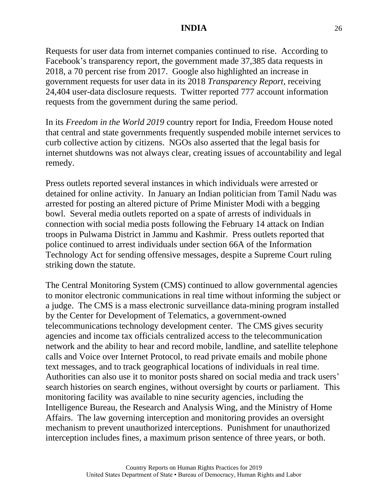Requests for user data from internet companies continued to rise. According to Facebook's transparency report, the government made 37,385 data requests in 2018, a 70 percent rise from 2017. Google also highlighted an increase in government requests for user data in its 2018 *Transparency Report*, receiving 24,404 user-data disclosure requests. Twitter reported 777 account information requests from the government during the same period.

In its *Freedom in the World 2019* country report for India, Freedom House noted that central and state governments frequently suspended mobile internet services to curb collective action by citizens. NGOs also asserted that the legal basis for internet shutdowns was not always clear, creating issues of accountability and legal remedy.

Press outlets reported several instances in which individuals were arrested or detained for online activity. In January an Indian politician from Tamil Nadu was arrested for posting an altered picture of Prime Minister Modi with a begging bowl. Several media outlets reported on a spate of arrests of individuals in connection with social media posts following the February 14 attack on Indian troops in Pulwama District in Jammu and Kashmir. Press outlets reported that police continued to arrest individuals under section 66A of the Information Technology Act for sending offensive messages, despite a Supreme Court ruling striking down the statute.

The Central Monitoring System (CMS) continued to allow governmental agencies to monitor electronic communications in real time without informing the subject or a judge. The CMS is a mass electronic surveillance data-mining program installed by the Center for Development of Telematics, a government-owned telecommunications technology development center. The CMS gives security agencies and income tax officials centralized access to the telecommunication network and the ability to hear and record mobile, landline, and satellite telephone calls and Voice over Internet Protocol, to read private emails and mobile phone text messages, and to track geographical locations of individuals in real time. Authorities can also use it to monitor posts shared on social media and track users' search histories on search engines, without oversight by courts or parliament. This monitoring facility was available to nine security agencies, including the Intelligence Bureau, the Research and Analysis Wing, and the Ministry of Home Affairs. The law governing interception and monitoring provides an oversight mechanism to prevent unauthorized interceptions. Punishment for unauthorized interception includes fines, a maximum prison sentence of three years, or both.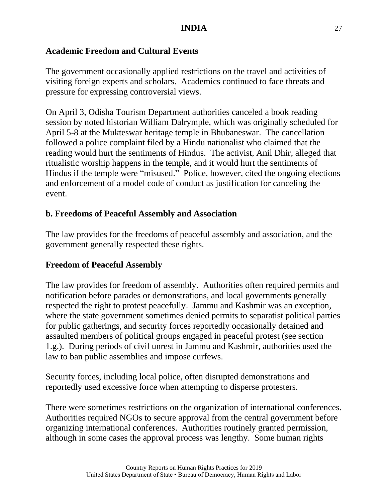# **Academic Freedom and Cultural Events**

The government occasionally applied restrictions on the travel and activities of visiting foreign experts and scholars. Academics continued to face threats and pressure for expressing controversial views.

On April 3, Odisha Tourism Department authorities canceled a book reading session by noted historian William Dalrymple, which was originally scheduled for April 5-8 at the Mukteswar heritage temple in Bhubaneswar. The cancellation followed a police complaint filed by a Hindu nationalist who claimed that the reading would hurt the sentiments of Hindus. The activist, Anil Dhir, alleged that ritualistic worship happens in the temple, and it would hurt the sentiments of Hindus if the temple were "misused." Police, however, cited the ongoing elections and enforcement of a model code of conduct as justification for canceling the event.

# **b. Freedoms of Peaceful Assembly and Association**

The law provides for the freedoms of peaceful assembly and association, and the government generally respected these rights.

## **Freedom of Peaceful Assembly**

The law provides for freedom of assembly. Authorities often required permits and notification before parades or demonstrations, and local governments generally respected the right to protest peacefully. Jammu and Kashmir was an exception, where the state government sometimes denied permits to separatist political parties for public gatherings, and security forces reportedly occasionally detained and assaulted members of political groups engaged in peaceful protest (see section 1.g.). During periods of civil unrest in Jammu and Kashmir, authorities used the law to ban public assemblies and impose curfews.

Security forces, including local police, often disrupted demonstrations and reportedly used excessive force when attempting to disperse protesters.

There were sometimes restrictions on the organization of international conferences. Authorities required NGOs to secure approval from the central government before organizing international conferences. Authorities routinely granted permission, although in some cases the approval process was lengthy. Some human rights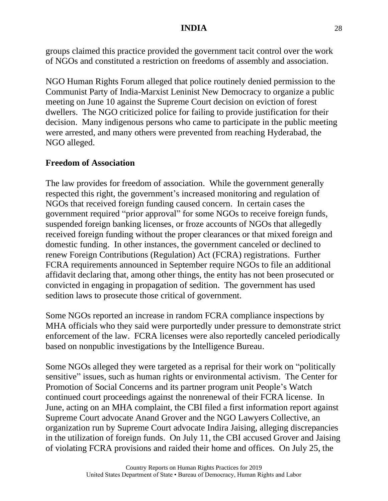groups claimed this practice provided the government tacit control over the work of NGOs and constituted a restriction on freedoms of assembly and association.

NGO Human Rights Forum alleged that police routinely denied permission to the Communist Party of India-Marxist Leninist New Democracy to organize a public meeting on June 10 against the Supreme Court decision on eviction of forest dwellers. The NGO criticized police for failing to provide justification for their decision. Many indigenous persons who came to participate in the public meeting were arrested, and many others were prevented from reaching Hyderabad, the NGO alleged.

## **Freedom of Association**

The law provides for freedom of association. While the government generally respected this right, the government's increased monitoring and regulation of NGOs that received foreign funding caused concern. In certain cases the government required "prior approval" for some NGOs to receive foreign funds, suspended foreign banking licenses, or froze accounts of NGOs that allegedly received foreign funding without the proper clearances or that mixed foreign and domestic funding. In other instances, the government canceled or declined to renew Foreign Contributions (Regulation) Act (FCRA) registrations. Further FCRA requirements announced in September require NGOs to file an additional affidavit declaring that, among other things, the entity has not been prosecuted or convicted in engaging in propagation of sedition. The government has used sedition laws to prosecute those critical of government.

Some NGOs reported an increase in random FCRA compliance inspections by MHA officials who they said were purportedly under pressure to demonstrate strict enforcement of the law. FCRA licenses were also reportedly canceled periodically based on nonpublic investigations by the Intelligence Bureau.

Some NGOs alleged they were targeted as a reprisal for their work on "politically sensitive" issues, such as human rights or environmental activism. The Center for Promotion of Social Concerns and its partner program unit People's Watch continued court proceedings against the nonrenewal of their FCRA license. In June, acting on an MHA complaint, the CBI filed a first information report against Supreme Court advocate Anand Grover and the NGO Lawyers Collective, an organization run by Supreme Court advocate Indira Jaising, alleging discrepancies in the utilization of foreign funds. On July 11, the CBI accused Grover and Jaising of violating FCRA provisions and raided their home and offices. On July 25, the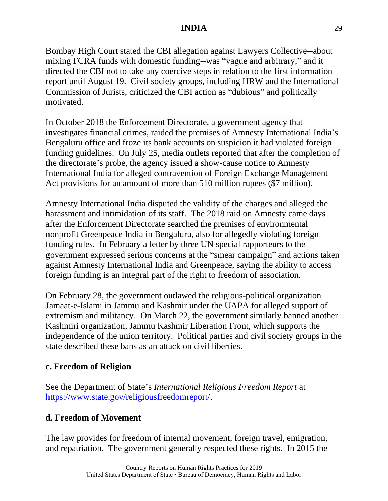Bombay High Court stated the CBI allegation against Lawyers Collective--about mixing FCRA funds with domestic funding--was "vague and arbitrary," and it directed the CBI not to take any coercive steps in relation to the first information report until August 19. Civil society groups, including HRW and the International Commission of Jurists, criticized the CBI action as "dubious" and politically motivated.

In October 2018 the Enforcement Directorate, a government agency that investigates financial crimes, raided the premises of Amnesty International India's Bengaluru office and froze its bank accounts on suspicion it had violated foreign funding guidelines. On July 25, media outlets reported that after the completion of the directorate's probe, the agency issued a show-cause notice to Amnesty International India for alleged contravention of Foreign Exchange Management Act provisions for an amount of more than 510 million rupees (\$7 million).

Amnesty International India disputed the validity of the charges and alleged the harassment and intimidation of its staff. The 2018 raid on Amnesty came days after the Enforcement Directorate searched the premises of environmental nonprofit Greenpeace India in Bengaluru, also for allegedly violating foreign funding rules. In February a letter by three UN special rapporteurs to the government expressed serious concerns at the "smear campaign" and actions taken against Amnesty International India and Greenpeace, saying the ability to access foreign funding is an integral part of the right to freedom of association.

On February 28, the government outlawed the religious-political organization Jamaat-e-Islami in Jammu and Kashmir under the UAPA for alleged support of extremism and militancy. On March 22, the government similarly banned another Kashmiri organization, Jammu Kashmir Liberation Front, which supports the independence of the union territory. Political parties and civil society groups in the state described these bans as an attack on civil liberties.

## **c. Freedom of Religion**

See the Department of State's *International Religious Freedom Report* at [https://www.state.gov/religiousfreedomreport/.](https://www.state.gov/religiousfreedomreport/)

## **d. Freedom of Movement**

The law provides for freedom of internal movement, foreign travel, emigration, and repatriation. The government generally respected these rights. In 2015 the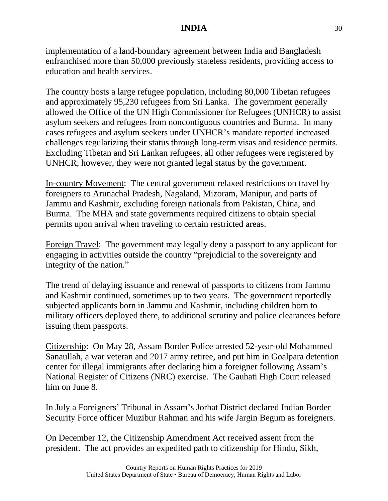implementation of a land-boundary agreement between India and Bangladesh enfranchised more than 50,000 previously stateless residents, providing access to education and health services.

The country hosts a large refugee population, including 80,000 Tibetan refugees and approximately 95,230 refugees from Sri Lanka. The government generally allowed the Office of the UN High Commissioner for Refugees (UNHCR) to assist asylum seekers and refugees from noncontiguous countries and Burma. In many cases refugees and asylum seekers under UNHCR's mandate reported increased challenges regularizing their status through long-term visas and residence permits. Excluding Tibetan and Sri Lankan refugees, all other refugees were registered by UNHCR; however, they were not granted legal status by the government.

In-country Movement: The central government relaxed restrictions on travel by foreigners to Arunachal Pradesh, Nagaland, Mizoram, Manipur, and parts of Jammu and Kashmir, excluding foreign nationals from Pakistan, China, and Burma. The MHA and state governments required citizens to obtain special permits upon arrival when traveling to certain restricted areas.

Foreign Travel: The government may legally deny a passport to any applicant for engaging in activities outside the country "prejudicial to the sovereignty and integrity of the nation."

The trend of delaying issuance and renewal of passports to citizens from Jammu and Kashmir continued, sometimes up to two years. The government reportedly subjected applicants born in Jammu and Kashmir, including children born to military officers deployed there, to additional scrutiny and police clearances before issuing them passports.

Citizenship: On May 28, Assam Border Police arrested 52-year-old Mohammed Sanaullah, a war veteran and 2017 army retiree, and put him in Goalpara detention center for illegal immigrants after declaring him a foreigner following Assam's National Register of Citizens (NRC) exercise. The Gauhati High Court released him on June 8.

In July a Foreigners' Tribunal in Assam's Jorhat District declared Indian Border Security Force officer Muzibur Rahman and his wife Jargin Begum as foreigners.

On December 12, the Citizenship Amendment Act received assent from the president. The act provides an expedited path to citizenship for Hindu, Sikh,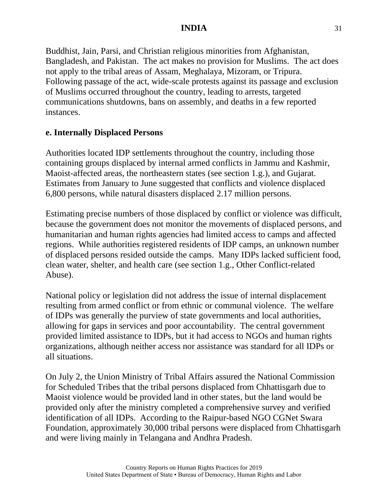Buddhist, Jain, Parsi, and Christian religious minorities from Afghanistan, Bangladesh, and Pakistan. The act makes no provision for Muslims. The act does not apply to the tribal areas of Assam, Meghalaya, Mizoram, or Tripura. Following passage of the act, wide-scale protests against its passage and exclusion of Muslims occurred throughout the country, leading to arrests, targeted communications shutdowns, bans on assembly, and deaths in a few reported instances.

### **e. Internally Displaced Persons**

Authorities located IDP settlements throughout the country, including those containing groups displaced by internal armed conflicts in Jammu and Kashmir, Maoist-affected areas, the northeastern states (see section 1.g.), and Gujarat. Estimates from January to June suggested that conflicts and violence displaced 6,800 persons, while natural disasters displaced 2.17 million persons.

Estimating precise numbers of those displaced by conflict or violence was difficult, because the government does not monitor the movements of displaced persons, and humanitarian and human rights agencies had limited access to camps and affected regions. While authorities registered residents of IDP camps, an unknown number of displaced persons resided outside the camps. Many IDPs lacked sufficient food, clean water, shelter, and health care (see section 1.g., Other Conflict-related Abuse).

National policy or legislation did not address the issue of internal displacement resulting from armed conflict or from ethnic or communal violence. The welfare of IDPs was generally the purview of state governments and local authorities, allowing for gaps in services and poor accountability. The central government provided limited assistance to IDPs, but it had access to NGOs and human rights organizations, although neither access nor assistance was standard for all IDPs or all situations.

On July 2, the Union Ministry of Tribal Affairs assured the National Commission for Scheduled Tribes that the tribal persons displaced from Chhattisgarh due to Maoist violence would be provided land in other states, but the land would be provided only after the ministry completed a comprehensive survey and verified identification of all IDPs. According to the Raipur-based NGO CGNet Swara Foundation, approximately 30,000 tribal persons were displaced from Chhattisgarh and were living mainly in Telangana and Andhra Pradesh.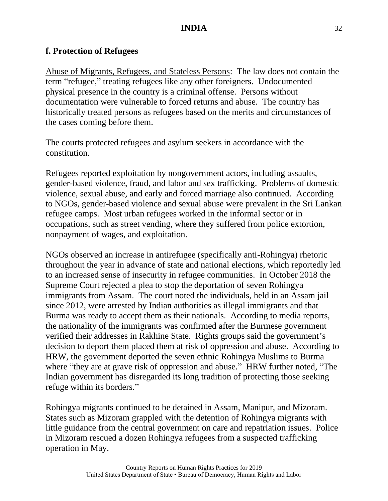### **f. Protection of Refugees**

Abuse of Migrants, Refugees, and Stateless Persons: The law does not contain the term "refugee," treating refugees like any other foreigners. Undocumented physical presence in the country is a criminal offense. Persons without documentation were vulnerable to forced returns and abuse. The country has historically treated persons as refugees based on the merits and circumstances of the cases coming before them.

The courts protected refugees and asylum seekers in accordance with the constitution.

Refugees reported exploitation by nongovernment actors, including assaults, gender-based violence, fraud, and labor and sex trafficking. Problems of domestic violence, sexual abuse, and early and forced marriage also continued. According to NGOs, gender-based violence and sexual abuse were prevalent in the Sri Lankan refugee camps. Most urban refugees worked in the informal sector or in occupations, such as street vending, where they suffered from police extortion, nonpayment of wages, and exploitation.

NGOs observed an increase in antirefugee (specifically anti-Rohingya) rhetoric throughout the year in advance of state and national elections, which reportedly led to an increased sense of insecurity in refugee communities. In October 2018 the Supreme Court rejected a plea to stop the deportation of seven Rohingya immigrants from Assam. The court noted the individuals, held in an Assam jail since 2012, were arrested by Indian authorities as illegal immigrants and that Burma was ready to accept them as their nationals. According to media reports, the nationality of the immigrants was confirmed after the Burmese government verified their addresses in Rakhine State. Rights groups said the government's decision to deport them placed them at risk of oppression and abuse. According to HRW, the government deported the seven ethnic Rohingya Muslims to Burma where "they are at grave risk of oppression and abuse." HRW further noted, "The Indian government has disregarded its long tradition of protecting those seeking refuge within its borders."

Rohingya migrants continued to be detained in Assam, Manipur, and Mizoram. States such as Mizoram grappled with the detention of Rohingya migrants with little guidance from the central government on care and repatriation issues. Police in Mizoram rescued a dozen Rohingya refugees from a suspected trafficking operation in May.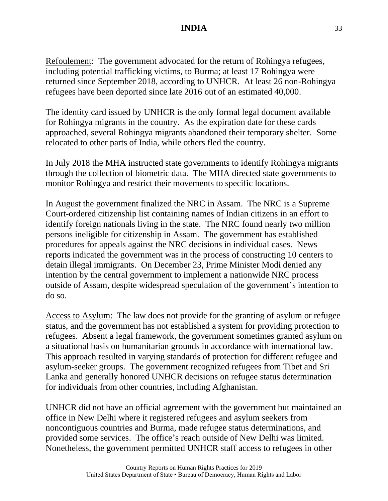Refoulement: The government advocated for the return of Rohingya refugees, including potential trafficking victims, to Burma; at least 17 Rohingya were returned since September 2018, according to UNHCR. At least 26 non-Rohingya refugees have been deported since late 2016 out of an estimated 40,000.

The identity card issued by UNHCR is the only formal legal document available for Rohingya migrants in the country. As the expiration date for these cards approached, several Rohingya migrants abandoned their temporary shelter. Some relocated to other parts of India, while others fled the country.

In July 2018 the MHA instructed state governments to identify Rohingya migrants through the collection of biometric data. The MHA directed state governments to monitor Rohingya and restrict their movements to specific locations.

In August the government finalized the NRC in Assam. The NRC is a Supreme Court-ordered citizenship list containing names of Indian citizens in an effort to identify foreign nationals living in the state. The NRC found nearly two million persons ineligible for citizenship in Assam. The government has established procedures for appeals against the NRC decisions in individual cases. News reports indicated the government was in the process of constructing 10 centers to detain illegal immigrants. On December 23, Prime Minister Modi denied any intention by the central government to implement a nationwide NRC process outside of Assam, despite widespread speculation of the government's intention to do so.

Access to Asylum: The law does not provide for the granting of asylum or refugee status, and the government has not established a system for providing protection to refugees. Absent a legal framework, the government sometimes granted asylum on a situational basis on humanitarian grounds in accordance with international law. This approach resulted in varying standards of protection for different refugee and asylum-seeker groups. The government recognized refugees from Tibet and Sri Lanka and generally honored UNHCR decisions on refugee status determination for individuals from other countries, including Afghanistan.

UNHCR did not have an official agreement with the government but maintained an office in New Delhi where it registered refugees and asylum seekers from noncontiguous countries and Burma, made refugee status determinations, and provided some services. The office's reach outside of New Delhi was limited. Nonetheless, the government permitted UNHCR staff access to refugees in other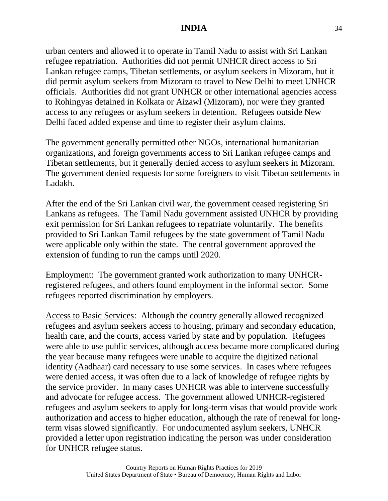urban centers and allowed it to operate in Tamil Nadu to assist with Sri Lankan refugee repatriation. Authorities did not permit UNHCR direct access to Sri Lankan refugee camps, Tibetan settlements, or asylum seekers in Mizoram, but it did permit asylum seekers from Mizoram to travel to New Delhi to meet UNHCR officials. Authorities did not grant UNHCR or other international agencies access to Rohingyas detained in Kolkata or Aizawl (Mizoram), nor were they granted access to any refugees or asylum seekers in detention. Refugees outside New Delhi faced added expense and time to register their asylum claims.

The government generally permitted other NGOs, international humanitarian organizations, and foreign governments access to Sri Lankan refugee camps and Tibetan settlements, but it generally denied access to asylum seekers in Mizoram. The government denied requests for some foreigners to visit Tibetan settlements in Ladakh.

After the end of the Sri Lankan civil war, the government ceased registering Sri Lankans as refugees. The Tamil Nadu government assisted UNHCR by providing exit permission for Sri Lankan refugees to repatriate voluntarily. The benefits provided to Sri Lankan Tamil refugees by the state government of Tamil Nadu were applicable only within the state. The central government approved the extension of funding to run the camps until 2020.

Employment: The government granted work authorization to many UNHCRregistered refugees, and others found employment in the informal sector. Some refugees reported discrimination by employers.

Access to Basic Services: Although the country generally allowed recognized refugees and asylum seekers access to housing, primary and secondary education, health care, and the courts, access varied by state and by population. Refugees were able to use public services, although access became more complicated during the year because many refugees were unable to acquire the digitized national identity (Aadhaar) card necessary to use some services. In cases where refugees were denied access, it was often due to a lack of knowledge of refugee rights by the service provider. In many cases UNHCR was able to intervene successfully and advocate for refugee access. The government allowed UNHCR-registered refugees and asylum seekers to apply for long-term visas that would provide work authorization and access to higher education, although the rate of renewal for longterm visas slowed significantly. For undocumented asylum seekers, UNHCR provided a letter upon registration indicating the person was under consideration for UNHCR refugee status.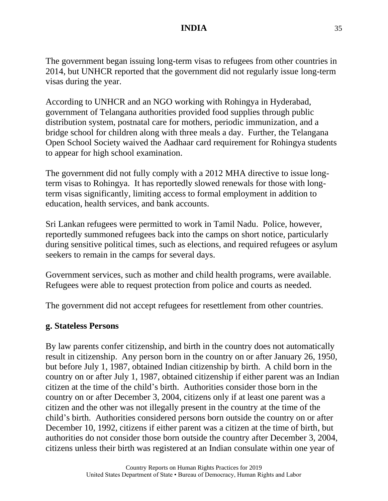The government began issuing long-term visas to refugees from other countries in 2014, but UNHCR reported that the government did not regularly issue long-term visas during the year.

According to UNHCR and an NGO working with Rohingya in Hyderabad, government of Telangana authorities provided food supplies through public distribution system, postnatal care for mothers, periodic immunization, and a bridge school for children along with three meals a day. Further, the Telangana Open School Society waived the Aadhaar card requirement for Rohingya students to appear for high school examination.

The government did not fully comply with a 2012 MHA directive to issue longterm visas to Rohingya. It has reportedly slowed renewals for those with longterm visas significantly, limiting access to formal employment in addition to education, health services, and bank accounts.

Sri Lankan refugees were permitted to work in Tamil Nadu. Police, however, reportedly summoned refugees back into the camps on short notice, particularly during sensitive political times, such as elections, and required refugees or asylum seekers to remain in the camps for several days.

Government services, such as mother and child health programs, were available. Refugees were able to request protection from police and courts as needed.

The government did not accept refugees for resettlement from other countries.

#### **g. Stateless Persons**

By law parents confer citizenship, and birth in the country does not automatically result in citizenship. Any person born in the country on or after January 26, 1950, but before July 1, 1987, obtained Indian citizenship by birth. A child born in the country on or after July 1, 1987, obtained citizenship if either parent was an Indian citizen at the time of the child's birth. Authorities consider those born in the country on or after December 3, 2004, citizens only if at least one parent was a citizen and the other was not illegally present in the country at the time of the child's birth. Authorities considered persons born outside the country on or after December 10, 1992, citizens if either parent was a citizen at the time of birth, but authorities do not consider those born outside the country after December 3, 2004, citizens unless their birth was registered at an Indian consulate within one year of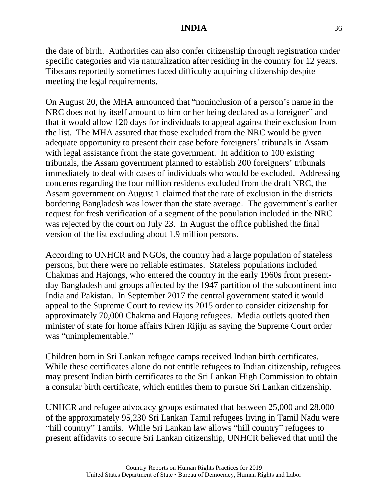the date of birth. Authorities can also confer citizenship through registration under specific categories and via naturalization after residing in the country for 12 years. Tibetans reportedly sometimes faced difficulty acquiring citizenship despite meeting the legal requirements.

On August 20, the MHA announced that "noninclusion of a person's name in the NRC does not by itself amount to him or her being declared as a foreigner" and that it would allow 120 days for individuals to appeal against their exclusion from the list. The MHA assured that those excluded from the NRC would be given adequate opportunity to present their case before foreigners' tribunals in Assam with legal assistance from the state government. In addition to 100 existing tribunals, the Assam government planned to establish 200 foreigners' tribunals immediately to deal with cases of individuals who would be excluded. Addressing concerns regarding the four million residents excluded from the draft NRC, the Assam government on August 1 claimed that the rate of exclusion in the districts bordering Bangladesh was lower than the state average. The government's earlier request for fresh verification of a segment of the population included in the NRC was rejected by the court on July 23. In August the office published the final version of the list excluding about 1.9 million persons.

According to UNHCR and NGOs, the country had a large population of stateless persons, but there were no reliable estimates. Stateless populations included Chakmas and Hajongs, who entered the country in the early 1960s from presentday Bangladesh and groups affected by the 1947 partition of the subcontinent into India and Pakistan. In September 2017 the central government stated it would appeal to the Supreme Court to review its 2015 order to consider citizenship for approximately 70,000 Chakma and Hajong refugees. Media outlets quoted then minister of state for home affairs Kiren Rijiju as saying the Supreme Court order was "unimplementable."

Children born in Sri Lankan refugee camps received Indian birth certificates. While these certificates alone do not entitle refugees to Indian citizenship, refugees may present Indian birth certificates to the Sri Lankan High Commission to obtain a consular birth certificate, which entitles them to pursue Sri Lankan citizenship.

UNHCR and refugee advocacy groups estimated that between 25,000 and 28,000 of the approximately 95,230 Sri Lankan Tamil refugees living in Tamil Nadu were "hill country" Tamils. While Sri Lankan law allows "hill country" refugees to present affidavits to secure Sri Lankan citizenship, UNHCR believed that until the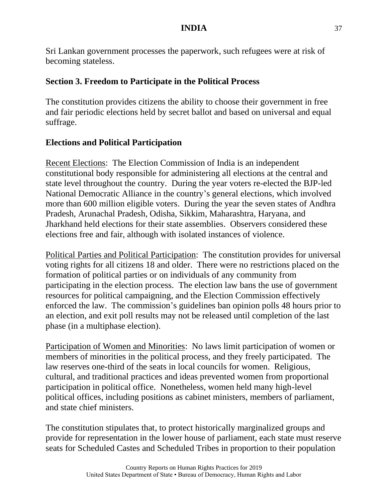Sri Lankan government processes the paperwork, such refugees were at risk of becoming stateless.

#### **Section 3. Freedom to Participate in the Political Process**

The constitution provides citizens the ability to choose their government in free and fair periodic elections held by secret ballot and based on universal and equal suffrage.

### **Elections and Political Participation**

Recent Elections: The Election Commission of India is an independent constitutional body responsible for administering all elections at the central and state level throughout the country. During the year voters re-elected the BJP-led National Democratic Alliance in the country's general elections, which involved more than 600 million eligible voters. During the year the seven states of Andhra Pradesh, Arunachal Pradesh, Odisha, Sikkim, Maharashtra, Haryana, and Jharkhand held elections for their state assemblies. Observers considered these elections free and fair, although with isolated instances of violence.

Political Parties and Political Participation: The constitution provides for universal voting rights for all citizens 18 and older. There were no restrictions placed on the formation of political parties or on individuals of any community from participating in the election process. The election law bans the use of government resources for political campaigning, and the Election Commission effectively enforced the law. The commission's guidelines ban opinion polls 48 hours prior to an election, and exit poll results may not be released until completion of the last phase (in a multiphase election).

Participation of Women and Minorities: No laws limit participation of women or members of minorities in the political process, and they freely participated. The law reserves one-third of the seats in local councils for women. Religious, cultural, and traditional practices and ideas prevented women from proportional participation in political office. Nonetheless, women held many high-level political offices, including positions as cabinet ministers, members of parliament, and state chief ministers.

The constitution stipulates that, to protect historically marginalized groups and provide for representation in the lower house of parliament, each state must reserve seats for Scheduled Castes and Scheduled Tribes in proportion to their population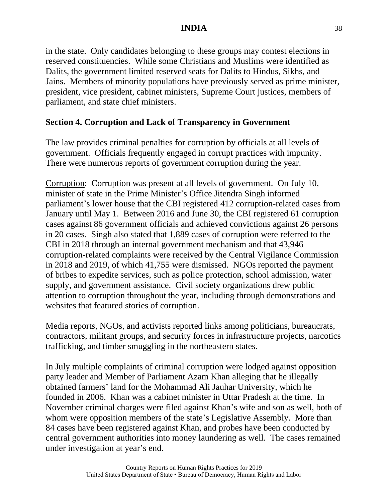in the state. Only candidates belonging to these groups may contest elections in reserved constituencies. While some Christians and Muslims were identified as Dalits, the government limited reserved seats for Dalits to Hindus, Sikhs, and Jains. Members of minority populations have previously served as prime minister, president, vice president, cabinet ministers, Supreme Court justices, members of parliament, and state chief ministers.

### **Section 4. Corruption and Lack of Transparency in Government**

The law provides criminal penalties for corruption by officials at all levels of government. Officials frequently engaged in corrupt practices with impunity. There were numerous reports of government corruption during the year.

Corruption: Corruption was present at all levels of government. On July 10, minister of state in the Prime Minister's Office Jitendra Singh informed parliament's lower house that the CBI registered 412 corruption-related cases from January until May 1. Between 2016 and June 30, the CBI registered 61 corruption cases against 86 government officials and achieved convictions against 26 persons in 20 cases. Singh also stated that 1,889 cases of corruption were referred to the CBI in 2018 through an internal government mechanism and that 43,946 corruption-related complaints were received by the Central Vigilance Commission in 2018 and 2019, of which 41,755 were dismissed. NGOs reported the payment of bribes to expedite services, such as police protection, school admission, water supply, and government assistance. Civil society organizations drew public attention to corruption throughout the year, including through demonstrations and websites that featured stories of corruption.

Media reports, NGOs, and activists reported links among politicians, bureaucrats, contractors, militant groups, and security forces in infrastructure projects, narcotics trafficking, and timber smuggling in the northeastern states.

In July multiple complaints of criminal corruption were lodged against opposition party leader and Member of Parliament Azam Khan alleging that he illegally obtained farmers' land for the Mohammad Ali Jauhar University, which he founded in 2006. Khan was a cabinet minister in Uttar Pradesh at the time. In November criminal charges were filed against Khan's wife and son as well, both of whom were opposition members of the state's Legislative Assembly. More than 84 cases have been registered against Khan, and probes have been conducted by central government authorities into money laundering as well. The cases remained under investigation at year's end.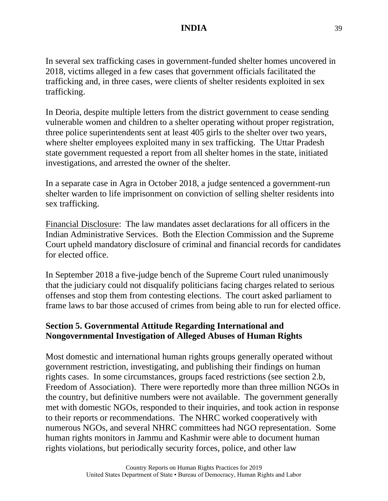In several sex trafficking cases in government-funded shelter homes uncovered in 2018, victims alleged in a few cases that government officials facilitated the trafficking and, in three cases, were clients of shelter residents exploited in sex trafficking.

In Deoria, despite multiple letters from the district government to cease sending vulnerable women and children to a shelter operating without proper registration, three police superintendents sent at least 405 girls to the shelter over two years, where shelter employees exploited many in sex trafficking. The Uttar Pradesh state government requested a report from all shelter homes in the state, initiated investigations, and arrested the owner of the shelter.

In a separate case in Agra in October 2018, a judge sentenced a government-run shelter warden to life imprisonment on conviction of selling shelter residents into sex trafficking.

Financial Disclosure: The law mandates asset declarations for all officers in the Indian Administrative Services. Both the Election Commission and the Supreme Court upheld mandatory disclosure of criminal and financial records for candidates for elected office.

In September 2018 a five-judge bench of the Supreme Court ruled unanimously that the judiciary could not disqualify politicians facing charges related to serious offenses and stop them from contesting elections. The court asked parliament to frame laws to bar those accused of crimes from being able to run for elected office.

## **Section 5. Governmental Attitude Regarding International and Nongovernmental Investigation of Alleged Abuses of Human Rights**

Most domestic and international human rights groups generally operated without government restriction, investigating, and publishing their findings on human rights cases. In some circumstances, groups faced restrictions (see section 2.b, Freedom of Association). There were reportedly more than three million NGOs in the country, but definitive numbers were not available. The government generally met with domestic NGOs, responded to their inquiries, and took action in response to their reports or recommendations. The NHRC worked cooperatively with numerous NGOs, and several NHRC committees had NGO representation. Some human rights monitors in Jammu and Kashmir were able to document human rights violations, but periodically security forces, police, and other law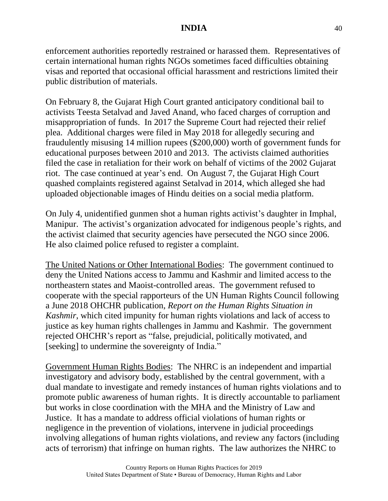enforcement authorities reportedly restrained or harassed them. Representatives of certain international human rights NGOs sometimes faced difficulties obtaining visas and reported that occasional official harassment and restrictions limited their public distribution of materials.

On February 8, the Gujarat High Court granted anticipatory conditional bail to activists Teesta Setalvad and Javed Anand, who faced charges of corruption and misappropriation of funds. In 2017 the Supreme Court had rejected their relief plea. Additional charges were filed in May 2018 for allegedly securing and fraudulently misusing 14 million rupees (\$200,000) worth of government funds for educational purposes between 2010 and 2013. The activists claimed authorities filed the case in retaliation for their work on behalf of victims of the 2002 Gujarat riot. The case continued at year's end. On August 7, the Gujarat High Court quashed complaints registered against Setalvad in 2014, which alleged she had uploaded objectionable images of Hindu deities on a social media platform.

On July 4, unidentified gunmen shot a human rights activist's daughter in Imphal, Manipur. The activist's organization advocated for indigenous people's rights, and the activist claimed that security agencies have persecuted the NGO since 2006. He also claimed police refused to register a complaint.

The United Nations or Other International Bodies: The government continued to deny the United Nations access to Jammu and Kashmir and limited access to the northeastern states and Maoist-controlled areas. The government refused to cooperate with the special rapporteurs of the UN Human Rights Council following a June 2018 OHCHR publication, *Report on the Human Rights Situation in Kashmir*, which cited impunity for human rights violations and lack of access to justice as key human rights challenges in Jammu and Kashmir. The government rejected OHCHR's report as "false, prejudicial, politically motivated, and [seeking] to undermine the sovereignty of India."

Government Human Rights Bodies: The NHRC is an independent and impartial investigatory and advisory body, established by the central government, with a dual mandate to investigate and remedy instances of human rights violations and to promote public awareness of human rights. It is directly accountable to parliament but works in close coordination with the MHA and the Ministry of Law and Justice. It has a mandate to address official violations of human rights or negligence in the prevention of violations, intervene in judicial proceedings involving allegations of human rights violations, and review any factors (including acts of terrorism) that infringe on human rights. The law authorizes the NHRC to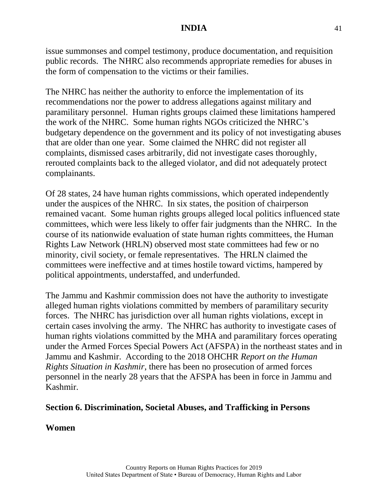issue summonses and compel testimony, produce documentation, and requisition public records. The NHRC also recommends appropriate remedies for abuses in the form of compensation to the victims or their families.

The NHRC has neither the authority to enforce the implementation of its recommendations nor the power to address allegations against military and paramilitary personnel. Human rights groups claimed these limitations hampered the work of the NHRC. Some human rights NGOs criticized the NHRC's budgetary dependence on the government and its policy of not investigating abuses that are older than one year. Some claimed the NHRC did not register all complaints, dismissed cases arbitrarily, did not investigate cases thoroughly, rerouted complaints back to the alleged violator, and did not adequately protect complainants.

Of 28 states, 24 have human rights commissions, which operated independently under the auspices of the NHRC. In six states, the position of chairperson remained vacant. Some human rights groups alleged local politics influenced state committees, which were less likely to offer fair judgments than the NHRC. In the course of its nationwide evaluation of state human rights committees, the Human Rights Law Network (HRLN) observed most state committees had few or no minority, civil society, or female representatives. The HRLN claimed the committees were ineffective and at times hostile toward victims, hampered by political appointments, understaffed, and underfunded.

The Jammu and Kashmir commission does not have the authority to investigate alleged human rights violations committed by members of paramilitary security forces. The NHRC has jurisdiction over all human rights violations, except in certain cases involving the army. The NHRC has authority to investigate cases of human rights violations committed by the MHA and paramilitary forces operating under the Armed Forces Special Powers Act (AFSPA) in the northeast states and in Jammu and Kashmir. According to the 2018 OHCHR *Report on the Human Rights Situation in Kashmir*, there has been no prosecution of armed forces personnel in the nearly 28 years that the AFSPA has been in force in Jammu and Kashmir.

#### **Section 6. Discrimination, Societal Abuses, and Trafficking in Persons**

#### **Women**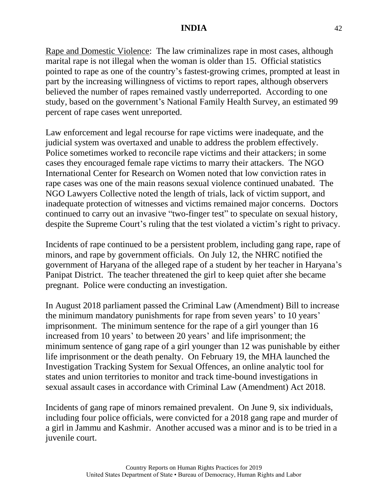Rape and Domestic Violence: The law criminalizes rape in most cases, although marital rape is not illegal when the woman is older than 15. Official statistics pointed to rape as one of the country's fastest-growing crimes, prompted at least in part by the increasing willingness of victims to report rapes, although observers believed the number of rapes remained vastly underreported. According to one study, based on the government's National Family Health Survey, an estimated 99 percent of rape cases went unreported.

Law enforcement and legal recourse for rape victims were inadequate, and the judicial system was overtaxed and unable to address the problem effectively. Police sometimes worked to reconcile rape victims and their attackers; in some cases they encouraged female rape victims to marry their attackers. The NGO International Center for Research on Women noted that low conviction rates in rape cases was one of the main reasons sexual violence continued unabated. The NGO Lawyers Collective noted the length of trials, lack of victim support, and inadequate protection of witnesses and victims remained major concerns. Doctors continued to carry out an invasive "two-finger test" to speculate on sexual history, despite the Supreme Court's ruling that the test violated a victim's right to privacy.

Incidents of rape continued to be a persistent problem, including gang rape, rape of minors, and rape by government officials. On July 12, the NHRC notified the government of Haryana of the alleged rape of a student by her teacher in Haryana's Panipat District. The teacher threatened the girl to keep quiet after she became pregnant. Police were conducting an investigation.

In August 2018 parliament passed the Criminal Law (Amendment) Bill to increase the minimum mandatory punishments for rape from seven years' to 10 years' imprisonment. The minimum sentence for the rape of a girl younger than 16 increased from 10 years' to between 20 years' and life imprisonment; the minimum sentence of gang rape of a girl younger than 12 was punishable by either life imprisonment or the death penalty. On February 19, the MHA launched the Investigation Tracking System for Sexual Offences, an online analytic tool for states and union territories to monitor and track time-bound investigations in sexual assault cases in accordance with Criminal Law (Amendment) Act 2018.

Incidents of gang rape of minors remained prevalent. On June 9, six individuals, including four police officials, were convicted for a 2018 gang rape and murder of a girl in Jammu and Kashmir. Another accused was a minor and is to be tried in a juvenile court.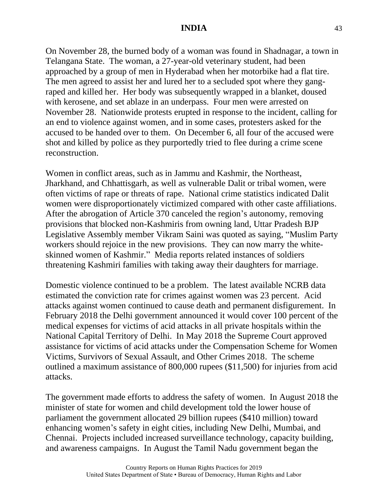On November 28, the burned body of a woman was found in Shadnagar, a town in Telangana State. The woman, a 27-year-old veterinary student, had been approached by a group of men in Hyderabad when her motorbike had a flat tire. The men agreed to assist her and lured her to a secluded spot where they gangraped and killed her. Her body was subsequently wrapped in a blanket, doused with kerosene, and set ablaze in an underpass. Four men were arrested on November 28. Nationwide protests erupted in response to the incident, calling for an end to violence against women, and in some cases, protesters asked for the accused to be handed over to them. On December 6, all four of the accused were shot and killed by police as they purportedly tried to flee during a crime scene reconstruction.

Women in conflict areas, such as in Jammu and Kashmir, the Northeast, Jharkhand, and Chhattisgarh, as well as vulnerable Dalit or tribal women, were often victims of rape or threats of rape. National crime statistics indicated Dalit women were disproportionately victimized compared with other caste affiliations. After the abrogation of Article 370 canceled the region's autonomy, removing provisions that blocked non-Kashmiris from owning land, Uttar Pradesh BJP Legislative Assembly member Vikram Saini was quoted as saying, "Muslim Party workers should rejoice in the new provisions. They can now marry the whiteskinned women of Kashmir." Media reports related instances of soldiers threatening Kashmiri families with taking away their daughters for marriage.

Domestic violence continued to be a problem. The latest available NCRB data estimated the conviction rate for crimes against women was 23 percent. Acid attacks against women continued to cause death and permanent disfigurement. In February 2018 the Delhi government announced it would cover 100 percent of the medical expenses for victims of acid attacks in all private hospitals within the National Capital Territory of Delhi. In May 2018 the Supreme Court approved assistance for victims of acid attacks under the Compensation Scheme for Women Victims, Survivors of Sexual Assault, and Other Crimes 2018. The scheme outlined a maximum assistance of 800,000 rupees (\$11,500) for injuries from acid attacks.

The government made efforts to address the safety of women. In August 2018 the minister of state for women and child development told the lower house of parliament the government allocated 29 billion rupees (\$410 million) toward enhancing women's safety in eight cities, including New Delhi, Mumbai, and Chennai. Projects included increased surveillance technology, capacity building, and awareness campaigns. In August the Tamil Nadu government began the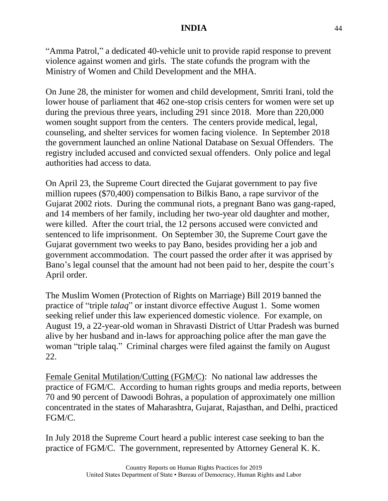"Amma Patrol," a dedicated 40-vehicle unit to provide rapid response to prevent violence against women and girls. The state cofunds the program with the Ministry of Women and Child Development and the MHA.

On June 28, the minister for women and child development, Smriti Irani, told the lower house of parliament that 462 one-stop crisis centers for women were set up during the previous three years, including 291 since 2018. More than 220,000 women sought support from the centers. The centers provide medical, legal, counseling, and shelter services for women facing violence. In September 2018 the government launched an online National Database on Sexual Offenders. The registry included accused and convicted sexual offenders. Only police and legal authorities had access to data.

On April 23, the Supreme Court directed the Gujarat government to pay five million rupees (\$70,400) compensation to Bilkis Bano, a rape survivor of the Gujarat 2002 riots. During the communal riots, a pregnant Bano was gang-raped, and 14 members of her family, including her two-year old daughter and mother, were killed. After the court trial, the 12 persons accused were convicted and sentenced to life imprisonment. On September 30, the Supreme Court gave the Gujarat government two weeks to pay Bano, besides providing her a job and government accommodation. The court passed the order after it was apprised by Bano's legal counsel that the amount had not been paid to her, despite the court's April order.

The Muslim Women (Protection of Rights on Marriage) Bill 2019 banned the practice of "triple *talaq*" or instant divorce effective August 1. Some women seeking relief under this law experienced domestic violence. For example, on August 19, a 22-year-old woman in Shravasti District of Uttar Pradesh was burned alive by her husband and in-laws for approaching police after the man gave the woman "triple talaq." Criminal charges were filed against the family on August 22.

Female Genital Mutilation/Cutting (FGM/C): No national law addresses the practice of FGM/C. According to human rights groups and media reports, between 70 and 90 percent of Dawoodi Bohras, a population of approximately one million concentrated in the states of Maharashtra, Gujarat, Rajasthan, and Delhi, practiced FGM/C.

In July 2018 the Supreme Court heard a public interest case seeking to ban the practice of FGM/C. The government, represented by Attorney General K. K.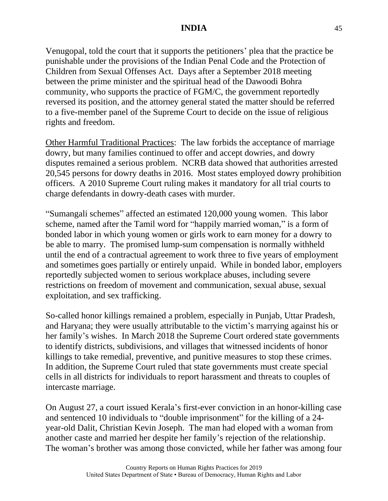Venugopal, told the court that it supports the petitioners' plea that the practice be punishable under the provisions of the Indian Penal Code and the Protection of Children from Sexual Offenses Act. Days after a September 2018 meeting between the prime minister and the spiritual head of the Dawoodi Bohra community, who supports the practice of FGM/C, the government reportedly reversed its position, and the attorney general stated the matter should be referred to a five-member panel of the Supreme Court to decide on the issue of religious rights and freedom.

Other Harmful Traditional Practices: The law forbids the acceptance of marriage dowry, but many families continued to offer and accept dowries, and dowry disputes remained a serious problem. NCRB data showed that authorities arrested 20,545 persons for dowry deaths in 2016. Most states employed dowry prohibition officers. A 2010 Supreme Court ruling makes it mandatory for all trial courts to charge defendants in dowry-death cases with murder.

"Sumangali schemes" affected an estimated 120,000 young women. This labor scheme, named after the Tamil word for "happily married woman," is a form of bonded labor in which young women or girls work to earn money for a dowry to be able to marry. The promised lump-sum compensation is normally withheld until the end of a contractual agreement to work three to five years of employment and sometimes goes partially or entirely unpaid. While in bonded labor, employers reportedly subjected women to serious workplace abuses, including severe restrictions on freedom of movement and communication, sexual abuse, sexual exploitation, and sex trafficking.

So-called honor killings remained a problem, especially in Punjab, Uttar Pradesh, and Haryana; they were usually attributable to the victim's marrying against his or her family's wishes. In March 2018 the Supreme Court ordered state governments to identify districts, subdivisions, and villages that witnessed incidents of honor killings to take remedial, preventive, and punitive measures to stop these crimes. In addition, the Supreme Court ruled that state governments must create special cells in all districts for individuals to report harassment and threats to couples of intercaste marriage.

On August 27, a court issued Kerala's first-ever conviction in an honor-killing case and sentenced 10 individuals to "double imprisonment" for the killing of a 24 year-old Dalit, Christian Kevin Joseph. The man had eloped with a woman from another caste and married her despite her family's rejection of the relationship. The woman's brother was among those convicted, while her father was among four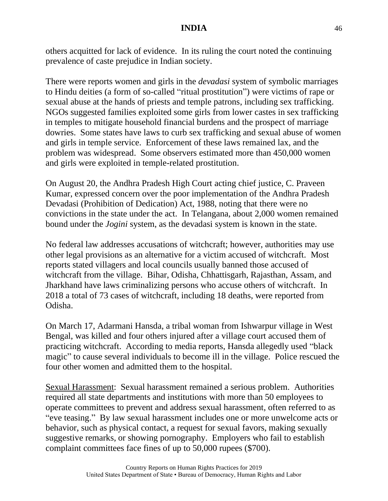others acquitted for lack of evidence. In its ruling the court noted the continuing prevalence of caste prejudice in Indian society.

There were reports women and girls in the *devadasi* system of symbolic marriages to Hindu deities (a form of so-called "ritual prostitution") were victims of rape or sexual abuse at the hands of priests and temple patrons, including sex trafficking. NGOs suggested families exploited some girls from lower castes in sex trafficking in temples to mitigate household financial burdens and the prospect of marriage dowries. Some states have laws to curb sex trafficking and sexual abuse of women and girls in temple service. Enforcement of these laws remained lax, and the problem was widespread. Some observers estimated more than 450,000 women and girls were exploited in temple-related prostitution.

On August 20, the Andhra Pradesh High Court acting chief justice, C. Praveen Kumar, expressed concern over the poor implementation of the Andhra Pradesh Devadasi (Prohibition of Dedication) Act, 1988, noting that there were no convictions in the state under the act. In Telangana, about 2,000 women remained bound under the *Jogini* system, as the devadasi system is known in the state.

No federal law addresses accusations of witchcraft; however, authorities may use other legal provisions as an alternative for a victim accused of witchcraft. Most reports stated villagers and local councils usually banned those accused of witchcraft from the village. Bihar, Odisha, Chhattisgarh, Rajasthan, Assam, and Jharkhand have laws criminalizing persons who accuse others of witchcraft. In 2018 a total of 73 cases of witchcraft, including 18 deaths, were reported from Odisha.

On March 17, Adarmani Hansda, a tribal woman from Ishwarpur village in West Bengal, was killed and four others injured after a village court accused them of practicing witchcraft. According to media reports, Hansda allegedly used "black magic" to cause several individuals to become ill in the village. Police rescued the four other women and admitted them to the hospital.

Sexual Harassment: Sexual harassment remained a serious problem. Authorities required all state departments and institutions with more than 50 employees to operate committees to prevent and address sexual harassment, often referred to as "eve teasing." By law sexual harassment includes one or more unwelcome acts or behavior, such as physical contact, a request for sexual favors, making sexually suggestive remarks, or showing pornography. Employers who fail to establish complaint committees face fines of up to 50,000 rupees (\$700).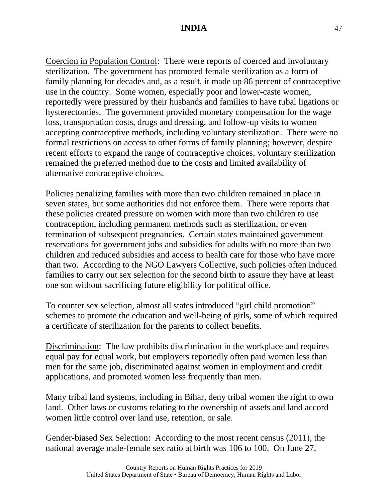Coercion in Population Control: There were reports of coerced and involuntary sterilization. The government has promoted female sterilization as a form of family planning for decades and, as a result, it made up 86 percent of contraceptive use in the country. Some women, especially poor and lower-caste women, reportedly were pressured by their husbands and families to have tubal ligations or hysterectomies. The government provided monetary compensation for the wage loss, transportation costs, drugs and dressing, and follow-up visits to women accepting contraceptive methods, including voluntary sterilization. There were no formal restrictions on access to other forms of family planning; however, despite recent efforts to expand the range of contraceptive choices, voluntary sterilization remained the preferred method due to the costs and limited availability of alternative contraceptive choices.

Policies penalizing families with more than two children remained in place in seven states, but some authorities did not enforce them. There were reports that these policies created pressure on women with more than two children to use contraception, including permanent methods such as sterilization, or even termination of subsequent pregnancies. Certain states maintained government reservations for government jobs and subsidies for adults with no more than two children and reduced subsidies and access to health care for those who have more than two. According to the NGO Lawyers Collective, such policies often induced families to carry out sex selection for the second birth to assure they have at least one son without sacrificing future eligibility for political office.

To counter sex selection, almost all states introduced "girl child promotion" schemes to promote the education and well-being of girls, some of which required a certificate of sterilization for the parents to collect benefits.

Discrimination: The law prohibits discrimination in the workplace and requires equal pay for equal work, but employers reportedly often paid women less than men for the same job, discriminated against women in employment and credit applications, and promoted women less frequently than men.

Many tribal land systems, including in Bihar, deny tribal women the right to own land. Other laws or customs relating to the ownership of assets and land accord women little control over land use, retention, or sale.

Gender-biased Sex Selection: According to the most recent census (2011), the national average male-female sex ratio at birth was 106 to 100. On June 27,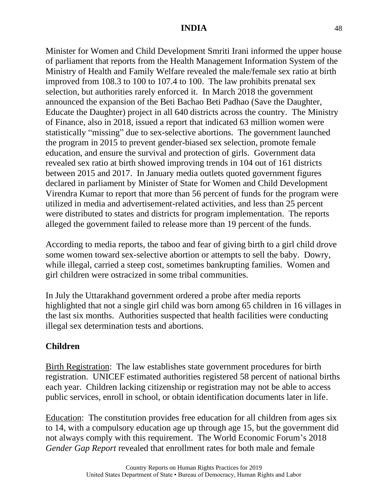Minister for Women and Child Development Smriti Irani informed the upper house of parliament that reports from the Health Management Information System of the Ministry of Health and Family Welfare revealed the male/female sex ratio at birth improved from 108.3 to 100 to 107.4 to 100. The law prohibits prenatal sex selection, but authorities rarely enforced it. In March 2018 the government announced the expansion of the Beti Bachao Beti Padhao (Save the Daughter, Educate the Daughter) project in all 640 districts across the country. The Ministry of Finance, also in 2018, issued a report that indicated 63 million women were statistically "missing" due to sex-selective abortions. The government launched the program in 2015 to prevent gender-biased sex selection, promote female education, and ensure the survival and protection of girls. Government data revealed sex ratio at birth showed improving trends in 104 out of 161 districts between 2015 and 2017. In January media outlets quoted government figures declared in parliament by Minister of State for Women and Child Development Virendra Kumar to report that more than 56 percent of funds for the program were utilized in media and advertisement-related activities, and less than 25 percent were distributed to states and districts for program implementation. The reports alleged the government failed to release more than 19 percent of the funds.

According to media reports, the taboo and fear of giving birth to a girl child drove some women toward sex-selective abortion or attempts to sell the baby. Dowry, while illegal, carried a steep cost, sometimes bankrupting families. Women and girl children were ostracized in some tribal communities.

In July the Uttarakhand government ordered a probe after media reports highlighted that not a single girl child was born among 65 children in 16 villages in the last six months. Authorities suspected that health facilities were conducting illegal sex determination tests and abortions.

## **Children**

Birth Registration: The law establishes state government procedures for birth registration. UNICEF estimated authorities registered 58 percent of national births each year. Children lacking citizenship or registration may not be able to access public services, enroll in school, or obtain identification documents later in life.

Education: The constitution provides free education for all children from ages six to 14, with a compulsory education age up through age 15, but the government did not always comply with this requirement. The World Economic Forum's 2018 *Gender Gap Report* revealed that enrollment rates for both male and female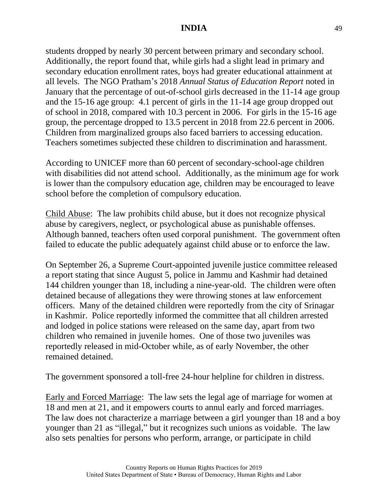students dropped by nearly 30 percent between primary and secondary school. Additionally, the report found that, while girls had a slight lead in primary and secondary education enrollment rates, boys had greater educational attainment at all levels. The NGO Pratham's 2018 *Annual Status of Education Report* noted in January that the percentage of out-of-school girls decreased in the 11-14 age group and the 15-16 age group: 4.1 percent of girls in the 11-14 age group dropped out of school in 2018, compared with 10.3 percent in 2006. For girls in the 15-16 age group, the percentage dropped to 13.5 percent in 2018 from 22.6 percent in 2006. Children from marginalized groups also faced barriers to accessing education. Teachers sometimes subjected these children to discrimination and harassment.

According to UNICEF more than 60 percent of secondary-school-age children with disabilities did not attend school. Additionally, as the minimum age for work is lower than the compulsory education age, children may be encouraged to leave school before the completion of compulsory education.

Child Abuse: The law prohibits child abuse, but it does not recognize physical abuse by caregivers, neglect, or psychological abuse as punishable offenses. Although banned, teachers often used corporal punishment. The government often failed to educate the public adequately against child abuse or to enforce the law.

On September 26, a Supreme Court-appointed juvenile justice committee released a report stating that since August 5, police in Jammu and Kashmir had detained 144 children younger than 18, including a nine-year-old. The children were often detained because of allegations they were throwing stones at law enforcement officers. Many of the detained children were reportedly from the city of Srinagar in Kashmir. Police reportedly informed the committee that all children arrested and lodged in police stations were released on the same day, apart from two children who remained in juvenile homes. One of those two juveniles was reportedly released in mid-October while, as of early November, the other remained detained.

The government sponsored a toll-free 24-hour helpline for children in distress.

Early and Forced Marriage: The law sets the legal age of marriage for women at 18 and men at 21, and it empowers courts to annul early and forced marriages. The law does not characterize a marriage between a girl younger than 18 and a boy younger than 21 as "illegal," but it recognizes such unions as voidable. The law also sets penalties for persons who perform, arrange, or participate in child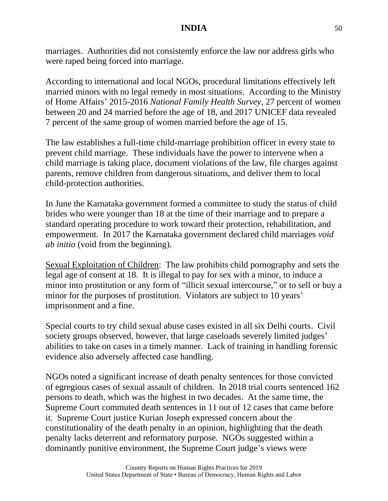marriages. Authorities did not consistently enforce the law nor address girls who were raped being forced into marriage.

According to international and local NGOs, procedural limitations effectively left married minors with no legal remedy in most situations. According to the Ministry of Home Affairs' 2015-2016 *National Family Health Survey*, 27 percent of women between 20 and 24 married before the age of 18, and 2017 UNICEF data revealed 7 percent of the same group of women married before the age of 15.

The law establishes a full-time child-marriage prohibition officer in every state to prevent child marriage. These individuals have the power to intervene when a child marriage is taking place, document violations of the law, file charges against parents, remove children from dangerous situations, and deliver them to local child-protection authorities.

In June the Karnataka government formed a committee to study the status of child brides who were younger than 18 at the time of their marriage and to prepare a standard operating procedure to work toward their protection, rehabilitation, and empowerment. In 2017 the Karnataka government declared child marriages *void ab initio* (void from the beginning).

Sexual Exploitation of Children: The law prohibits child pornography and sets the legal age of consent at 18. It is illegal to pay for sex with a minor, to induce a minor into prostitution or any form of "illicit sexual intercourse," or to sell or buy a minor for the purposes of prostitution. Violators are subject to 10 years' imprisonment and a fine.

Special courts to try child sexual abuse cases existed in all six Delhi courts. Civil society groups observed, however, that large caseloads severely limited judges' abilities to take on cases in a timely manner. Lack of training in handling forensic evidence also adversely affected case handling.

NGOs noted a significant increase of death penalty sentences for those convicted of egregious cases of sexual assault of children. In 2018 trial courts sentenced 162 persons to death, which was the highest in two decades. At the same time, the Supreme Court commuted death sentences in 11 out of 12 cases that came before it. Supreme Court justice Kurian Joseph expressed concern about the constitutionality of the death penalty in an opinion, highlighting that the death penalty lacks deterrent and reformatory purpose. NGOs suggested within a dominantly punitive environment, the Supreme Court judge's views were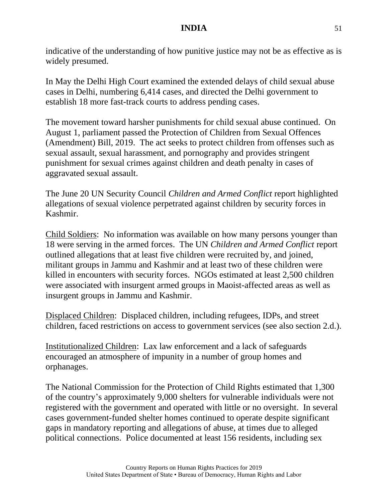indicative of the understanding of how punitive justice may not be as effective as is widely presumed.

In May the Delhi High Court examined the extended delays of child sexual abuse cases in Delhi, numbering 6,414 cases, and directed the Delhi government to establish 18 more fast-track courts to address pending cases.

The movement toward harsher punishments for child sexual abuse continued. On August 1, parliament passed the Protection of Children from Sexual Offences (Amendment) Bill, 2019. The act seeks to protect children from offenses such as sexual assault, sexual harassment, and pornography and provides stringent punishment for sexual crimes against children and death penalty in cases of aggravated sexual assault.

The June 20 UN Security Council *Children and Armed Conflict* report highlighted allegations of sexual violence perpetrated against children by security forces in Kashmir.

Child Soldiers: No information was available on how many persons younger than 18 were serving in the armed forces. The UN *Children and Armed Conflict* report outlined allegations that at least five children were recruited by, and joined, militant groups in Jammu and Kashmir and at least two of these children were killed in encounters with security forces. NGOs estimated at least 2,500 children were associated with insurgent armed groups in Maoist-affected areas as well as insurgent groups in Jammu and Kashmir.

Displaced Children: Displaced children, including refugees, IDPs, and street children, faced restrictions on access to government services (see also section 2.d.).

Institutionalized Children: Lax law enforcement and a lack of safeguards encouraged an atmosphere of impunity in a number of group homes and orphanages.

The National Commission for the Protection of Child Rights estimated that 1,300 of the country's approximately 9,000 shelters for vulnerable individuals were not registered with the government and operated with little or no oversight. In several cases government-funded shelter homes continued to operate despite significant gaps in mandatory reporting and allegations of abuse, at times due to alleged political connections. Police documented at least 156 residents, including sex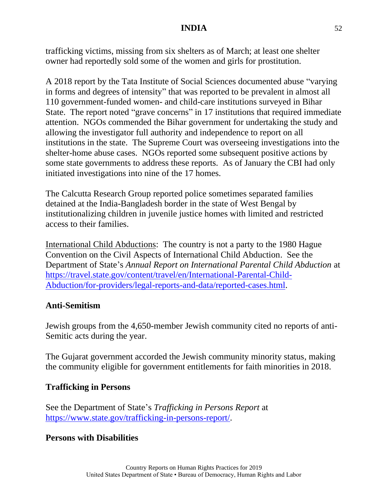trafficking victims, missing from six shelters as of March; at least one shelter owner had reportedly sold some of the women and girls for prostitution.

A 2018 report by the Tata Institute of Social Sciences documented abuse "varying in forms and degrees of intensity" that was reported to be prevalent in almost all 110 government-funded women- and child-care institutions surveyed in Bihar State. The report noted "grave concerns" in 17 institutions that required immediate attention. NGOs commended the Bihar government for undertaking the study and allowing the investigator full authority and independence to report on all institutions in the state. The Supreme Court was overseeing investigations into the shelter-home abuse cases. NGOs reported some subsequent positive actions by some state governments to address these reports. As of January the CBI had only initiated investigations into nine of the 17 homes.

The Calcutta Research Group reported police sometimes separated families detained at the India-Bangladesh border in the state of West Bengal by institutionalizing children in juvenile justice homes with limited and restricted access to their families.

International Child Abductions: The country is not a party to the 1980 Hague Convention on the Civil Aspects of International Child Abduction. See the Department of State's *Annual Report on International Parental Child Abduction* at [https://travel.state.gov/content/travel/en/International-Parental-Child-](https://travel.state.gov/content/travel/en/International-Parental-Child-Abduction/for-providers/legal-reports-and-data/reported-cases.html)[Abduction/for-providers/legal-reports-and-data/reported-cases.html.](https://travel.state.gov/content/travel/en/International-Parental-Child-Abduction/for-providers/legal-reports-and-data/reported-cases.html)

#### **Anti-Semitism**

Jewish groups from the 4,650-member Jewish community cited no reports of anti-Semitic acts during the year.

The Gujarat government accorded the Jewish community minority status, making the community eligible for government entitlements for faith minorities in 2018.

#### **Trafficking in Persons**

See the Department of State's *Trafficking in Persons Report* at [https://www.state.gov/trafficking-in-persons-report/.](https://www.state.gov/trafficking-in-persons-report/)

#### **Persons with Disabilities**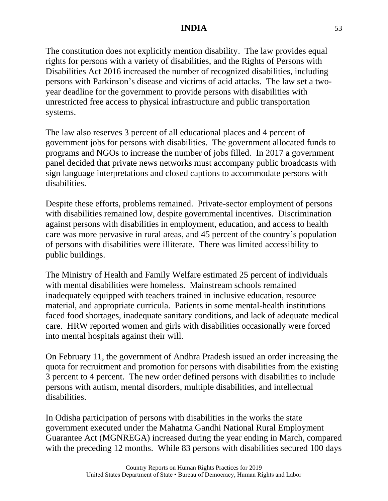The constitution does not explicitly mention disability. The law provides equal rights for persons with a variety of disabilities, and the Rights of Persons with Disabilities Act 2016 increased the number of recognized disabilities, including persons with Parkinson's disease and victims of acid attacks. The law set a twoyear deadline for the government to provide persons with disabilities with unrestricted free access to physical infrastructure and public transportation systems.

The law also reserves 3 percent of all educational places and 4 percent of government jobs for persons with disabilities. The government allocated funds to programs and NGOs to increase the number of jobs filled. In 2017 a government panel decided that private news networks must accompany public broadcasts with sign language interpretations and closed captions to accommodate persons with disabilities.

Despite these efforts, problems remained. Private-sector employment of persons with disabilities remained low, despite governmental incentives. Discrimination against persons with disabilities in employment, education, and access to health care was more pervasive in rural areas, and 45 percent of the country's population of persons with disabilities were illiterate. There was limited accessibility to public buildings.

The Ministry of Health and Family Welfare estimated 25 percent of individuals with mental disabilities were homeless. Mainstream schools remained inadequately equipped with teachers trained in inclusive education, resource material, and appropriate curricula. Patients in some mental-health institutions faced food shortages, inadequate sanitary conditions, and lack of adequate medical care. HRW reported women and girls with disabilities occasionally were forced into mental hospitals against their will.

On February 11, the government of Andhra Pradesh issued an order increasing the quota for recruitment and promotion for persons with disabilities from the existing 3 percent to 4 percent. The new order defined persons with disabilities to include persons with autism, mental disorders, multiple disabilities, and intellectual disabilities.

In Odisha participation of persons with disabilities in the works the state government executed under the Mahatma Gandhi National Rural Employment Guarantee Act (MGNREGA) increased during the year ending in March, compared with the preceding 12 months. While 83 persons with disabilities secured 100 days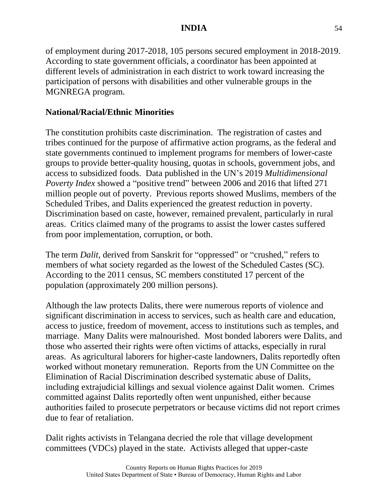of employment during 2017-2018, 105 persons secured employment in 2018-2019. According to state government officials, a coordinator has been appointed at different levels of administration in each district to work toward increasing the participation of persons with disabilities and other vulnerable groups in the MGNREGA program.

### **National/Racial/Ethnic Minorities**

The constitution prohibits caste discrimination. The registration of castes and tribes continued for the purpose of affirmative action programs, as the federal and state governments continued to implement programs for members of lower-caste groups to provide better-quality housing, quotas in schools, government jobs, and access to subsidized foods. Data published in the UN's 2019 *Multidimensional Poverty Index* showed a "positive trend" between 2006 and 2016 that lifted 271 million people out of poverty. Previous reports showed Muslims, members of the Scheduled Tribes, and Dalits experienced the greatest reduction in poverty. Discrimination based on caste, however, remained prevalent, particularly in rural areas. Critics claimed many of the programs to assist the lower castes suffered from poor implementation, corruption, or both.

The term *Dalit*, derived from Sanskrit for "oppressed" or "crushed," refers to members of what society regarded as the lowest of the Scheduled Castes (SC). According to the 2011 census, SC members constituted 17 percent of the population (approximately 200 million persons).

Although the law protects Dalits, there were numerous reports of violence and significant discrimination in access to services, such as health care and education, access to justice, freedom of movement, access to institutions such as temples, and marriage. Many Dalits were malnourished. Most bonded laborers were Dalits, and those who asserted their rights were often victims of attacks, especially in rural areas. As agricultural laborers for higher-caste landowners, Dalits reportedly often worked without monetary remuneration. Reports from the UN Committee on the Elimination of Racial Discrimination described systematic abuse of Dalits, including extrajudicial killings and sexual violence against Dalit women. Crimes committed against Dalits reportedly often went unpunished, either because authorities failed to prosecute perpetrators or because victims did not report crimes due to fear of retaliation.

Dalit rights activists in Telangana decried the role that village development committees (VDCs) played in the state. Activists alleged that upper-caste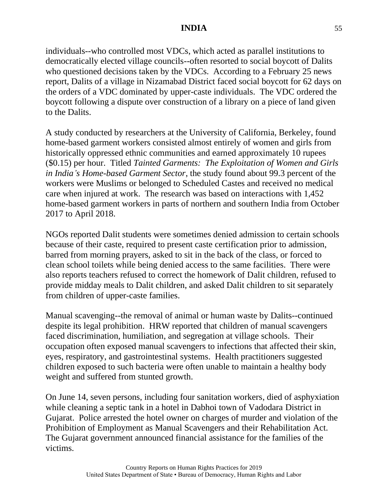individuals--who controlled most VDCs, which acted as parallel institutions to democratically elected village councils--often resorted to social boycott of Dalits who questioned decisions taken by the VDCs. According to a February 25 news report, Dalits of a village in Nizamabad District faced social boycott for 62 days on the orders of a VDC dominated by upper-caste individuals. The VDC ordered the boycott following a dispute over construction of a library on a piece of land given to the Dalits.

A study conducted by researchers at the University of California, Berkeley, found home-based garment workers consisted almost entirely of women and girls from historically oppressed ethnic communities and earned approximately 10 rupees (\$0.15) per hour. Titled *Tainted Garments: The Exploitation of Women and Girls in India's Home-based Garment Sector*, the study found about 99.3 percent of the workers were Muslims or belonged to Scheduled Castes and received no medical care when injured at work. The research was based on interactions with 1,452 home-based garment workers in parts of northern and southern India from October 2017 to April 2018.

NGOs reported Dalit students were sometimes denied admission to certain schools because of their caste, required to present caste certification prior to admission, barred from morning prayers, asked to sit in the back of the class, or forced to clean school toilets while being denied access to the same facilities. There were also reports teachers refused to correct the homework of Dalit children, refused to provide midday meals to Dalit children, and asked Dalit children to sit separately from children of upper-caste families.

Manual scavenging--the removal of animal or human waste by Dalits--continued despite its legal prohibition. HRW reported that children of manual scavengers faced discrimination, humiliation, and segregation at village schools. Their occupation often exposed manual scavengers to infections that affected their skin, eyes, respiratory, and gastrointestinal systems. Health practitioners suggested children exposed to such bacteria were often unable to maintain a healthy body weight and suffered from stunted growth.

On June 14, seven persons, including four sanitation workers, died of asphyxiation while cleaning a septic tank in a hotel in Dabhoi town of Vadodara District in Gujarat. Police arrested the hotel owner on charges of murder and violation of the Prohibition of Employment as Manual Scavengers and their Rehabilitation Act. The Gujarat government announced financial assistance for the families of the victims.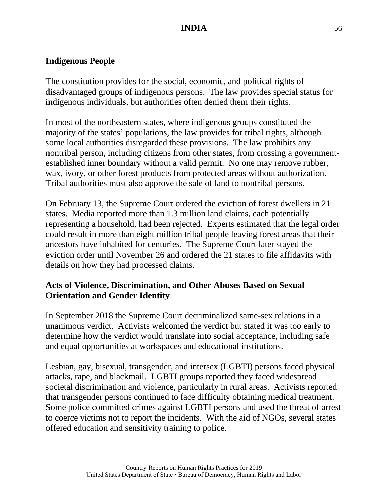### **Indigenous People**

The constitution provides for the social, economic, and political rights of disadvantaged groups of indigenous persons. The law provides special status for indigenous individuals, but authorities often denied them their rights.

In most of the northeastern states, where indigenous groups constituted the majority of the states' populations, the law provides for tribal rights, although some local authorities disregarded these provisions. The law prohibits any nontribal person, including citizens from other states, from crossing a governmentestablished inner boundary without a valid permit. No one may remove rubber, wax, ivory, or other forest products from protected areas without authorization. Tribal authorities must also approve the sale of land to nontribal persons.

On February 13, the Supreme Court ordered the eviction of forest dwellers in 21 states. Media reported more than 1.3 million land claims, each potentially representing a household, had been rejected. Experts estimated that the legal order could result in more than eight million tribal people leaving forest areas that their ancestors have inhabited for centuries. The Supreme Court later stayed the eviction order until November 26 and ordered the 21 states to file affidavits with details on how they had processed claims.

## **Acts of Violence, Discrimination, and Other Abuses Based on Sexual Orientation and Gender Identity**

In September 2018 the Supreme Court decriminalized same-sex relations in a unanimous verdict. Activists welcomed the verdict but stated it was too early to determine how the verdict would translate into social acceptance, including safe and equal opportunities at workspaces and educational institutions.

Lesbian, gay, bisexual, transgender, and intersex (LGBTI) persons faced physical attacks, rape, and blackmail. LGBTI groups reported they faced widespread societal discrimination and violence, particularly in rural areas. Activists reported that transgender persons continued to face difficulty obtaining medical treatment. Some police committed crimes against LGBTI persons and used the threat of arrest to coerce victims not to report the incidents. With the aid of NGOs, several states offered education and sensitivity training to police.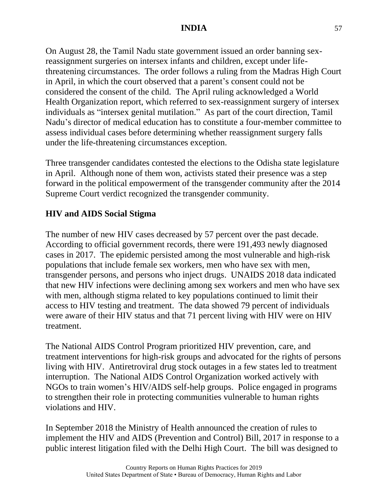On August 28, the Tamil Nadu state government issued an order banning sexreassignment surgeries on intersex infants and children, except under lifethreatening circumstances. The order follows a ruling from the Madras High Court in April, in which the court observed that a parent's consent could not be considered the consent of the child. The April ruling acknowledged a World Health Organization report, which referred to sex-reassignment surgery of intersex individuals as "intersex genital mutilation." As part of the court direction, Tamil Nadu's director of medical education has to constitute a four-member committee to assess individual cases before determining whether reassignment surgery falls under the life-threatening circumstances exception.

Three transgender candidates contested the elections to the Odisha state legislature in April. Although none of them won, activists stated their presence was a step forward in the political empowerment of the transgender community after the 2014 Supreme Court verdict recognized the transgender community.

## **HIV and AIDS Social Stigma**

The number of new HIV cases decreased by 57 percent over the past decade. According to official government records, there were 191,493 newly diagnosed cases in 2017. The epidemic persisted among the most vulnerable and high-risk populations that include female sex workers, men who have sex with men, transgender persons, and persons who inject drugs. UNAIDS 2018 data indicated that new HIV infections were declining among sex workers and men who have sex with men, although stigma related to key populations continued to limit their access to HIV testing and treatment. The data showed 79 percent of individuals were aware of their HIV status and that 71 percent living with HIV were on HIV treatment.

The National AIDS Control Program prioritized HIV prevention, care, and treatment interventions for high-risk groups and advocated for the rights of persons living with HIV. Antiretroviral drug stock outages in a few states led to treatment interruption. The National AIDS Control Organization worked actively with NGOs to train women's HIV/AIDS self-help groups. Police engaged in programs to strengthen their role in protecting communities vulnerable to human rights violations and HIV.

In September 2018 the Ministry of Health announced the creation of rules to implement the HIV and AIDS (Prevention and Control) Bill, 2017 in response to a public interest litigation filed with the Delhi High Court. The bill was designed to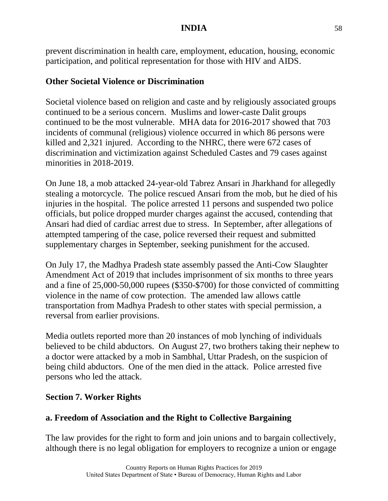prevent discrimination in health care, employment, education, housing, economic participation, and political representation for those with HIV and AIDS.

### **Other Societal Violence or Discrimination**

Societal violence based on religion and caste and by religiously associated groups continued to be a serious concern. Muslims and lower-caste Dalit groups continued to be the most vulnerable. MHA data for 2016-2017 showed that 703 incidents of communal (religious) violence occurred in which 86 persons were killed and 2,321 injured. According to the NHRC, there were 672 cases of discrimination and victimization against Scheduled Castes and 79 cases against minorities in 2018-2019.

On June 18, a mob attacked 24-year-old Tabrez Ansari in Jharkhand for allegedly stealing a motorcycle. The police rescued Ansari from the mob, but he died of his injuries in the hospital. The police arrested 11 persons and suspended two police officials, but police dropped murder charges against the accused, contending that Ansari had died of cardiac arrest due to stress. In September, after allegations of attempted tampering of the case, police reversed their request and submitted supplementary charges in September, seeking punishment for the accused.

On July 17, the Madhya Pradesh state assembly passed the Anti-Cow Slaughter Amendment Act of 2019 that includes imprisonment of six months to three years and a fine of 25,000-50,000 rupees (\$350-\$700) for those convicted of committing violence in the name of cow protection. The amended law allows cattle transportation from Madhya Pradesh to other states with special permission, a reversal from earlier provisions.

Media outlets reported more than 20 instances of mob lynching of individuals believed to be child abductors. On August 27, two brothers taking their nephew to a doctor were attacked by a mob in Sambhal, Uttar Pradesh, on the suspicion of being child abductors. One of the men died in the attack. Police arrested five persons who led the attack.

## **Section 7. Worker Rights**

## **a. Freedom of Association and the Right to Collective Bargaining**

The law provides for the right to form and join unions and to bargain collectively, although there is no legal obligation for employers to recognize a union or engage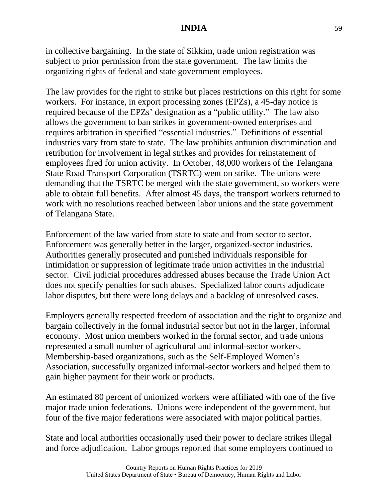in collective bargaining. In the state of Sikkim, trade union registration was subject to prior permission from the state government. The law limits the organizing rights of federal and state government employees.

The law provides for the right to strike but places restrictions on this right for some workers. For instance, in export processing zones (EPZs), a 45-day notice is required because of the EPZs' designation as a "public utility." The law also allows the government to ban strikes in government-owned enterprises and requires arbitration in specified "essential industries." Definitions of essential industries vary from state to state. The law prohibits antiunion discrimination and retribution for involvement in legal strikes and provides for reinstatement of employees fired for union activity. In October, 48,000 workers of the Telangana State Road Transport Corporation (TSRTC) went on strike. The unions were demanding that the TSRTC be merged with the state government, so workers were able to obtain full benefits. After almost 45 days, the transport workers returned to work with no resolutions reached between labor unions and the state government of Telangana State.

Enforcement of the law varied from state to state and from sector to sector. Enforcement was generally better in the larger, organized-sector industries. Authorities generally prosecuted and punished individuals responsible for intimidation or suppression of legitimate trade union activities in the industrial sector. Civil judicial procedures addressed abuses because the Trade Union Act does not specify penalties for such abuses. Specialized labor courts adjudicate labor disputes, but there were long delays and a backlog of unresolved cases.

Employers generally respected freedom of association and the right to organize and bargain collectively in the formal industrial sector but not in the larger, informal economy. Most union members worked in the formal sector, and trade unions represented a small number of agricultural and informal-sector workers. Membership-based organizations, such as the Self-Employed Women's Association, successfully organized informal-sector workers and helped them to gain higher payment for their work or products.

An estimated 80 percent of unionized workers were affiliated with one of the five major trade union federations. Unions were independent of the government, but four of the five major federations were associated with major political parties.

State and local authorities occasionally used their power to declare strikes illegal and force adjudication. Labor groups reported that some employers continued to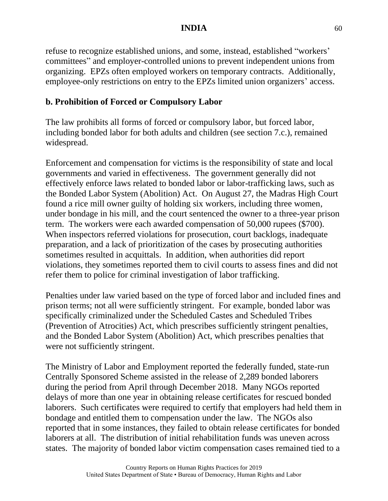refuse to recognize established unions, and some, instead, established "workers' committees" and employer-controlled unions to prevent independent unions from organizing. EPZs often employed workers on temporary contracts. Additionally, employee-only restrictions on entry to the EPZs limited union organizers' access.

# **b. Prohibition of Forced or Compulsory Labor**

The law prohibits all forms of forced or compulsory labor, but forced labor, including bonded labor for both adults and children (see section 7.c.), remained widespread.

Enforcement and compensation for victims is the responsibility of state and local governments and varied in effectiveness. The government generally did not effectively enforce laws related to bonded labor or labor-trafficking laws, such as the Bonded Labor System (Abolition) Act. On August 27, the Madras High Court found a rice mill owner guilty of holding six workers, including three women, under bondage in his mill, and the court sentenced the owner to a three-year prison term. The workers were each awarded compensation of 50,000 rupees (\$700). When inspectors referred violations for prosecution, court backlogs, inadequate preparation, and a lack of prioritization of the cases by prosecuting authorities sometimes resulted in acquittals. In addition, when authorities did report violations, they sometimes reported them to civil courts to assess fines and did not refer them to police for criminal investigation of labor trafficking.

Penalties under law varied based on the type of forced labor and included fines and prison terms; not all were sufficiently stringent. For example, bonded labor was specifically criminalized under the Scheduled Castes and Scheduled Tribes (Prevention of Atrocities) Act, which prescribes sufficiently stringent penalties, and the Bonded Labor System (Abolition) Act, which prescribes penalties that were not sufficiently stringent.

The Ministry of Labor and Employment reported the federally funded, state-run Centrally Sponsored Scheme assisted in the release of 2,289 bonded laborers during the period from April through December 2018. Many NGOs reported delays of more than one year in obtaining release certificates for rescued bonded laborers. Such certificates were required to certify that employers had held them in bondage and entitled them to compensation under the law. The NGOs also reported that in some instances, they failed to obtain release certificates for bonded laborers at all. The distribution of initial rehabilitation funds was uneven across states. The majority of bonded labor victim compensation cases remained tied to a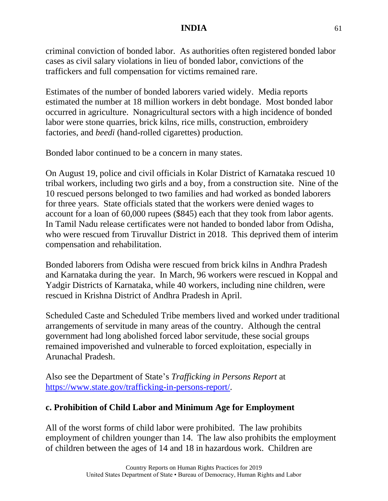criminal conviction of bonded labor. As authorities often registered bonded labor cases as civil salary violations in lieu of bonded labor, convictions of the traffickers and full compensation for victims remained rare.

Estimates of the number of bonded laborers varied widely. Media reports estimated the number at 18 million workers in debt bondage. Most bonded labor occurred in agriculture. Nonagricultural sectors with a high incidence of bonded labor were stone quarries, brick kilns, rice mills, construction, embroidery factories, and *beedi* (hand-rolled cigarettes) production.

Bonded labor continued to be a concern in many states.

On August 19, police and civil officials in Kolar District of Karnataka rescued 10 tribal workers, including two girls and a boy, from a construction site. Nine of the 10 rescued persons belonged to two families and had worked as bonded laborers for three years. State officials stated that the workers were denied wages to account for a loan of 60,000 rupees (\$845) each that they took from labor agents. In Tamil Nadu release certificates were not handed to bonded labor from Odisha, who were rescued from Tiruvallur District in 2018. This deprived them of interim compensation and rehabilitation.

Bonded laborers from Odisha were rescued from brick kilns in Andhra Pradesh and Karnataka during the year. In March, 96 workers were rescued in Koppal and Yadgir Districts of Karnataka, while 40 workers, including nine children, were rescued in Krishna District of Andhra Pradesh in April.

Scheduled Caste and Scheduled Tribe members lived and worked under traditional arrangements of servitude in many areas of the country. Although the central government had long abolished forced labor servitude, these social groups remained impoverished and vulnerable to forced exploitation, especially in Arunachal Pradesh.

Also see the Department of State's *Trafficking in Persons Report* at [https://www.state.gov/trafficking-in-persons-report/.](https://www.state.gov/trafficking-in-persons-report/)

# **c. Prohibition of Child Labor and Minimum Age for Employment**

All of the worst forms of child labor were prohibited. The law prohibits employment of children younger than 14. The law also prohibits the employment of children between the ages of 14 and 18 in hazardous work. Children are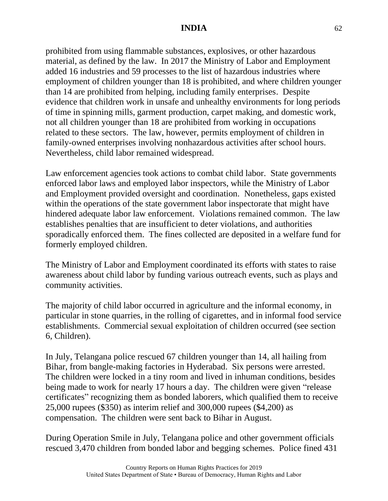prohibited from using flammable substances, explosives, or other hazardous material, as defined by the law. In 2017 the Ministry of Labor and Employment added 16 industries and 59 processes to the list of hazardous industries where employment of children younger than 18 is prohibited, and where children younger than 14 are prohibited from helping, including family enterprises. Despite evidence that children work in unsafe and unhealthy environments for long periods of time in spinning mills, garment production, carpet making, and domestic work, not all children younger than 18 are prohibited from working in occupations related to these sectors. The law, however, permits employment of children in family-owned enterprises involving nonhazardous activities after school hours. Nevertheless, child labor remained widespread.

Law enforcement agencies took actions to combat child labor. State governments enforced labor laws and employed labor inspectors, while the Ministry of Labor and Employment provided oversight and coordination. Nonetheless, gaps existed within the operations of the state government labor inspectorate that might have hindered adequate labor law enforcement. Violations remained common. The law establishes penalties that are insufficient to deter violations, and authorities sporadically enforced them. The fines collected are deposited in a welfare fund for formerly employed children.

The Ministry of Labor and Employment coordinated its efforts with states to raise awareness about child labor by funding various outreach events, such as plays and community activities.

The majority of child labor occurred in agriculture and the informal economy, in particular in stone quarries, in the rolling of cigarettes, and in informal food service establishments. Commercial sexual exploitation of children occurred (see section 6, Children).

In July, Telangana police rescued 67 children younger than 14, all hailing from Bihar, from bangle-making factories in Hyderabad. Six persons were arrested. The children were locked in a tiny room and lived in inhuman conditions, besides being made to work for nearly 17 hours a day. The children were given "release certificates" recognizing them as bonded laborers, which qualified them to receive 25,000 rupees (\$350) as interim relief and 300,000 rupees (\$4,200) as compensation. The children were sent back to Bihar in August.

During Operation Smile in July, Telangana police and other government officials rescued 3,470 children from bonded labor and begging schemes. Police fined 431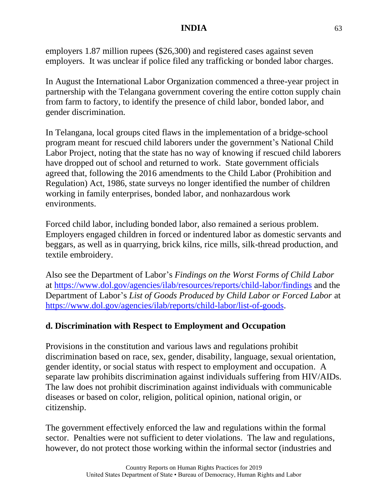employers 1.87 million rupees (\$26,300) and registered cases against seven employers. It was unclear if police filed any trafficking or bonded labor charges.

In August the International Labor Organization commenced a three-year project in partnership with the Telangana government covering the entire cotton supply chain from farm to factory, to identify the presence of child labor, bonded labor, and gender discrimination.

In Telangana, local groups cited flaws in the implementation of a bridge-school program meant for rescued child laborers under the government's National Child Labor Project, noting that the state has no way of knowing if rescued child laborers have dropped out of school and returned to work. State government officials agreed that, following the 2016 amendments to the Child Labor (Prohibition and Regulation) Act, 1986, state surveys no longer identified the number of children working in family enterprises, bonded labor, and nonhazardous work environments.

Forced child labor, including bonded labor, also remained a serious problem. Employers engaged children in forced or indentured labor as domestic servants and beggars, as well as in quarrying, brick kilns, rice mills, silk-thread production, and textile embroidery.

Also see the Department of Labor's *Findings on the Worst Forms of Child Labor* at <https://www.dol.gov/agencies/ilab/resources/reports/child-labor/findings> and the Department of Labor's *List of Goods Produced by Child Labor or Forced Labor* at [https://www.dol.gov/agencies/ilab/reports/child-labor/list-of-goods.](https://www.dol.gov/agencies/ilab/reports/child-labor/list-of-goods)

# **d. Discrimination with Respect to Employment and Occupation**

Provisions in the constitution and various laws and regulations prohibit discrimination based on race, sex, gender, disability, language, sexual orientation, gender identity, or social status with respect to employment and occupation. A separate law prohibits discrimination against individuals suffering from HIV/AIDs. The law does not prohibit discrimination against individuals with communicable diseases or based on color, religion, political opinion, national origin, or citizenship.

The government effectively enforced the law and regulations within the formal sector. Penalties were not sufficient to deter violations. The law and regulations, however, do not protect those working within the informal sector (industries and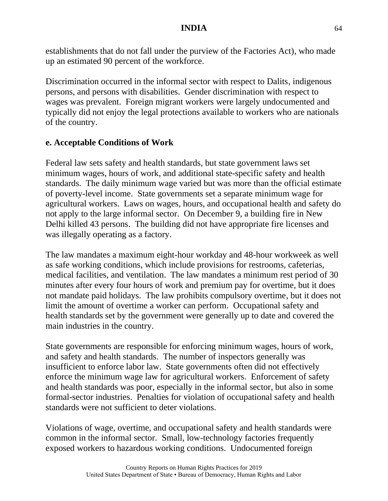establishments that do not fall under the purview of the Factories Act), who made up an estimated 90 percent of the workforce.

Discrimination occurred in the informal sector with respect to Dalits, indigenous persons, and persons with disabilities. Gender discrimination with respect to wages was prevalent. Foreign migrant workers were largely undocumented and typically did not enjoy the legal protections available to workers who are nationals of the country.

#### **e. Acceptable Conditions of Work**

Federal law sets safety and health standards, but state government laws set minimum wages, hours of work, and additional state-specific safety and health standards. The daily minimum wage varied but was more than the official estimate of poverty-level income. State governments set a separate minimum wage for agricultural workers. Laws on wages, hours, and occupational health and safety do not apply to the large informal sector. On December 9, a building fire in New Delhi killed 43 persons. The building did not have appropriate fire licenses and was illegally operating as a factory.

The law mandates a maximum eight-hour workday and 48-hour workweek as well as safe working conditions, which include provisions for restrooms, cafeterias, medical facilities, and ventilation. The law mandates a minimum rest period of 30 minutes after every four hours of work and premium pay for overtime, but it does not mandate paid holidays. The law prohibits compulsory overtime, but it does not limit the amount of overtime a worker can perform. Occupational safety and health standards set by the government were generally up to date and covered the main industries in the country.

State governments are responsible for enforcing minimum wages, hours of work, and safety and health standards. The number of inspectors generally was insufficient to enforce labor law. State governments often did not effectively enforce the minimum wage law for agricultural workers. Enforcement of safety and health standards was poor, especially in the informal sector, but also in some formal-sector industries. Penalties for violation of occupational safety and health standards were not sufficient to deter violations.

Violations of wage, overtime, and occupational safety and health standards were common in the informal sector. Small, low-technology factories frequently exposed workers to hazardous working conditions. Undocumented foreign